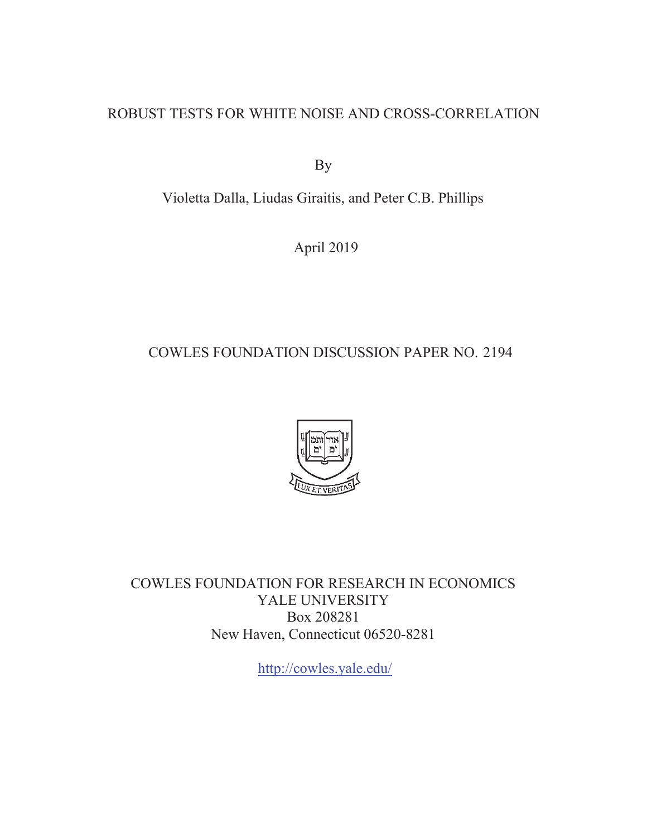## ROBUST TESTS FOR WHITE NOISE AND CROSS-CORRELATION

By

Violetta Dalla, Liudas Giraitis, and Peter C.B. Phillips

April 2019

# COWLES FOUNDATION DISCUSSION PAPER NO. 2194



COWLES FOUNDATION FOR RESEARCH IN ECONOMICS YALE UNIVERSITY Box 208281 New Haven, Connecticut 06520-8281

http://cowles.yale.edu/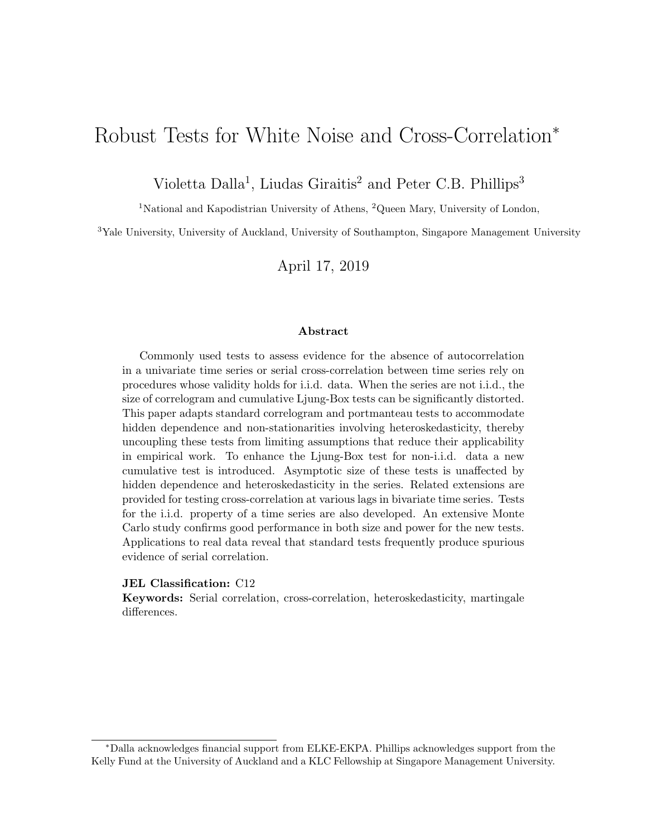# Robust Tests for White Noise and Cross-Correlation<sup>∗</sup>

Violetta Dalla<sup>1</sup>, Liudas Giraitis<sup>2</sup> and Peter C.B. Phillips<sup>3</sup>

<sup>1</sup>National and Kapodistrian University of Athens, <sup>2</sup>Queen Mary, University of London,

<sup>3</sup>Yale University, University of Auckland, University of Southampton, Singapore Management University

April 17, 2019

#### Abstract

Commonly used tests to assess evidence for the absence of autocorrelation in a univariate time series or serial cross-correlation between time series rely on procedures whose validity holds for i.i.d. data. When the series are not i.i.d., the size of correlogram and cumulative Ljung-Box tests can be significantly distorted. This paper adapts standard correlogram and portmanteau tests to accommodate hidden dependence and non-stationarities involving heteroskedasticity, thereby uncoupling these tests from limiting assumptions that reduce their applicability in empirical work. To enhance the Ljung-Box test for non-i.i.d. data a new cumulative test is introduced. Asymptotic size of these tests is unaffected by hidden dependence and heteroskedasticity in the series. Related extensions are provided for testing cross-correlation at various lags in bivariate time series. Tests for the i.i.d. property of a time series are also developed. An extensive Monte Carlo study confirms good performance in both size and power for the new tests. Applications to real data reveal that standard tests frequently produce spurious evidence of serial correlation.

#### JEL Classification: C12

Keywords: Serial correlation, cross-correlation, heteroskedasticity, martingale differences.

<sup>∗</sup>Dalla acknowledges financial support from ELKE-EKPA. Phillips acknowledges support from the Kelly Fund at the University of Auckland and a KLC Fellowship at Singapore Management University.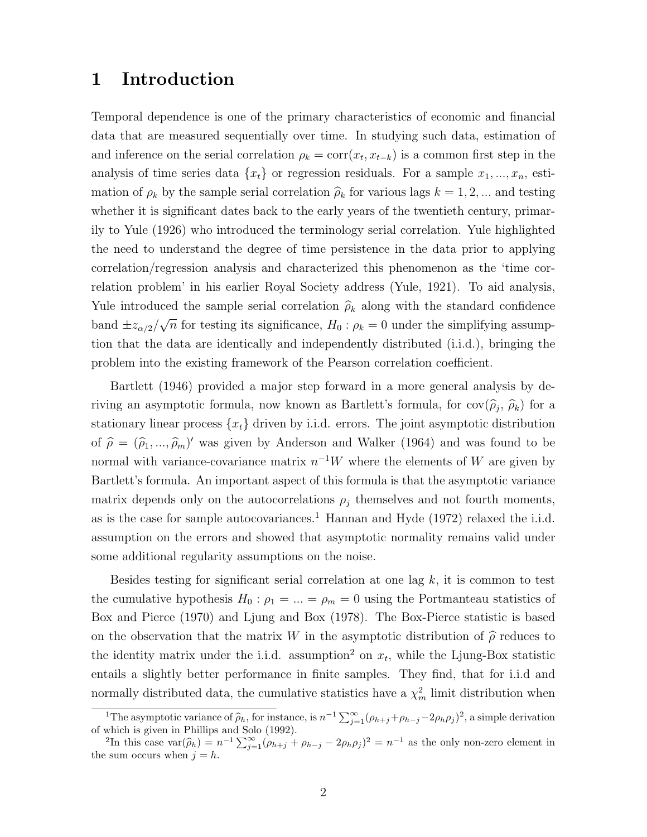## 1 Introduction

Temporal dependence is one of the primary characteristics of economic and financial data that are measured sequentially over time. In studying such data, estimation of and inference on the serial correlation  $\rho_k = \text{corr}(x_t, x_{t-k})$  is a common first step in the analysis of time series data  $\{x_t\}$  or regression residuals. For a sample  $x_1, ..., x_n$ , estimation of  $\rho_k$  by the sample serial correlation  $\hat{\rho}_k$  for various lags  $k = 1, 2, ...$  and testing whether it is significant dates back to the early years of the twentieth century, primarily to Yule (1926) who introduced the terminology serial correlation. Yule highlighted the need to understand the degree of time persistence in the data prior to applying correlation/regression analysis and characterized this phenomenon as the 'time correlation problem' in his earlier Royal Society address (Yule, 1921). To aid analysis, Yule introduced the sample serial correlation  $\hat{\rho}_k$  along with the standard confidence band  $\pm z_{\alpha/2}/$ √  $\overline{n}$  for testing its significance,  $H_0$ :  $\rho_k = 0$  under the simplifying assumption that the data are identically and independently distributed (i.i.d.), bringing the problem into the existing framework of the Pearson correlation coefficient.

Bartlett (1946) provided a major step forward in a more general analysis by deriving an asymptotic formula, now known as Bartlett's formula, for  $cov(\hat{\rho}_j, \hat{\rho}_k)$  for a stationary linear process  $\{x_t\}$  driven by i.i.d. errors. The joint asymptotic distribution of  $\hat{\rho} = (\hat{\rho}_1, ..., \hat{\rho}_m)'$  was given by Anderson and Walker (1964) and was found to be normal with variance-covariance matrix  $n^{-1}W$  where the elements of W are given by Bartlett's formula. An important aspect of this formula is that the asymptotic variance matrix depends only on the autocorrelations  $\rho_j$  themselves and not fourth moments, as is the case for sample autocovariances.<sup>1</sup> Hannan and Hyde  $(1972)$  relaxed the i.i.d. assumption on the errors and showed that asymptotic normality remains valid under some additional regularity assumptions on the noise.

Besides testing for significant serial correlation at one lag  $k$ , it is common to test the cumulative hypothesis  $H_0$ :  $\rho_1 = ... = \rho_m = 0$  using the Portmanteau statistics of Box and Pierce (1970) and Ljung and Box (1978). The Box-Pierce statistic is based on the observation that the matrix W in the asymptotic distribution of  $\hat{\rho}$  reduces to the identity matrix under the i.i.d. assumption<sup>2</sup> on  $x_t$ , while the Ljung-Box statistic entails a slightly better performance in finite samples. They find, that for i.i.d and normally distributed data, the cumulative statistics have a  $\chi^2_m$  limit distribution when

<sup>&</sup>lt;sup>1</sup>The asymptotic variance of  $\hat{\rho}_h$ , for instance, is  $n^{-1} \sum_{j=1}^{\infty} (\rho_{h+j} + \rho_{h-j} - 2\rho_h \rho_j)^2$ , a simple derivation which is given in Phillips and Solo (1002)

of which is given in Phillips and Solo (1992).<br><sup>2</sup>In this case var( $\hat{\rho}_h$ ) =  $n^{-1} \sum_{j=1}^{\infty} (\rho_{h+j} + \rho_{h-j} - 2\rho_h \rho_j)^2 = n^{-1}$  as the only non-zero element in the sum occurs when  $i = h$ the sum occurs when  $j = h$ .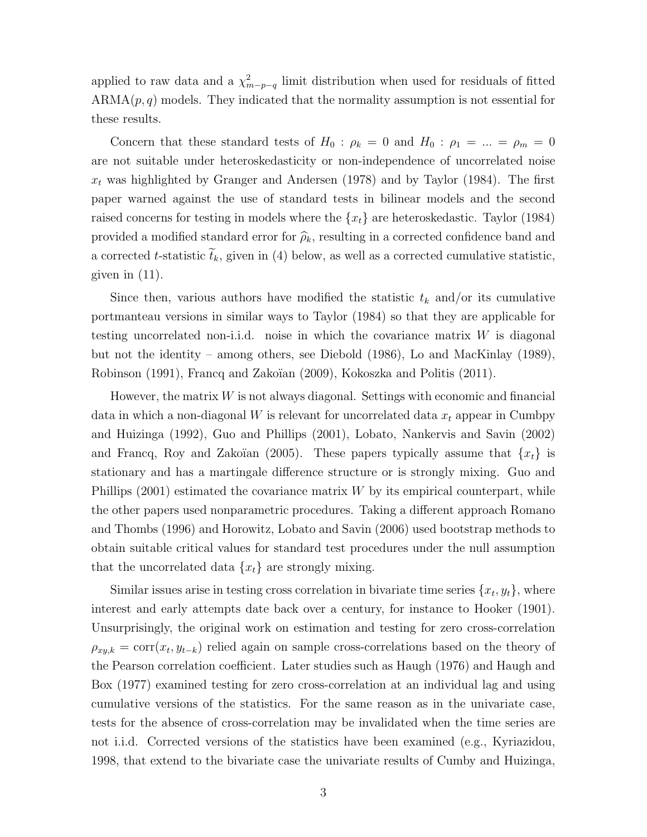applied to raw data and a  $\chi^2_{m-p-q}$  limit distribution when used for residuals of fitted  $ARMA(p, q)$  models. They indicated that the normality assumption is not essential for these results.

Concern that these standard tests of  $H_0$ :  $\rho_k = 0$  and  $H_0$ :  $\rho_1 = ... = \rho_m = 0$ are not suitable under heteroskedasticity or non-independence of uncorrelated noise  $x_t$  was highlighted by Granger and Andersen (1978) and by Taylor (1984). The first paper warned against the use of standard tests in bilinear models and the second raised concerns for testing in models where the  $\{x_t\}$  are heteroskedastic. Taylor (1984) provided a modified standard error for  $\hat{\rho}_k$ , resulting in a corrected confidence band and a corrected t-statistic  $\tilde{t}_k$ , given in (4) below, as well as a corrected cumulative statistic, given in (11).

Since then, various authors have modified the statistic  $t_k$  and/or its cumulative portmanteau versions in similar ways to Taylor (1984) so that they are applicable for testing uncorrelated non-i.i.d. noise in which the covariance matrix  $W$  is diagonal but not the identity – among others, see Diebold (1986), Lo and MacKinlay (1989), Robinson (1991), Francq and Zakoïan (2009), Kokoszka and Politis (2011).

However, the matrix  $W$  is not always diagonal. Settings with economic and financial data in which a non-diagonal  $W$  is relevant for uncorrelated data  $x_t$  appear in Cumbpy and Huizinga (1992), Guo and Phillips (2001), Lobato, Nankervis and Savin (2002) and Francq, Roy and Zakoïan (2005). These papers typically assume that  $\{x_t\}$  is stationary and has a martingale difference structure or is strongly mixing. Guo and Phillips  $(2001)$  estimated the covariance matrix W by its empirical counterpart, while the other papers used nonparametric procedures. Taking a different approach Romano and Thombs (1996) and Horowitz, Lobato and Savin (2006) used bootstrap methods to obtain suitable critical values for standard test procedures under the null assumption that the uncorrelated data  ${x_t}$  are strongly mixing.

Similar issues arise in testing cross correlation in bivariate time series  $\{x_t, y_t\}$ , where interest and early attempts date back over a century, for instance to Hooker (1901). Unsurprisingly, the original work on estimation and testing for zero cross-correlation  $\rho_{xy,k} = \text{corr}(x_t, y_{t-k})$  relied again on sample cross-correlations based on the theory of the Pearson correlation coefficient. Later studies such as Haugh (1976) and Haugh and Box (1977) examined testing for zero cross-correlation at an individual lag and using cumulative versions of the statistics. For the same reason as in the univariate case, tests for the absence of cross-correlation may be invalidated when the time series are not i.i.d. Corrected versions of the statistics have been examined (e.g., Kyriazidou, 1998, that extend to the bivariate case the univariate results of Cumby and Huizinga,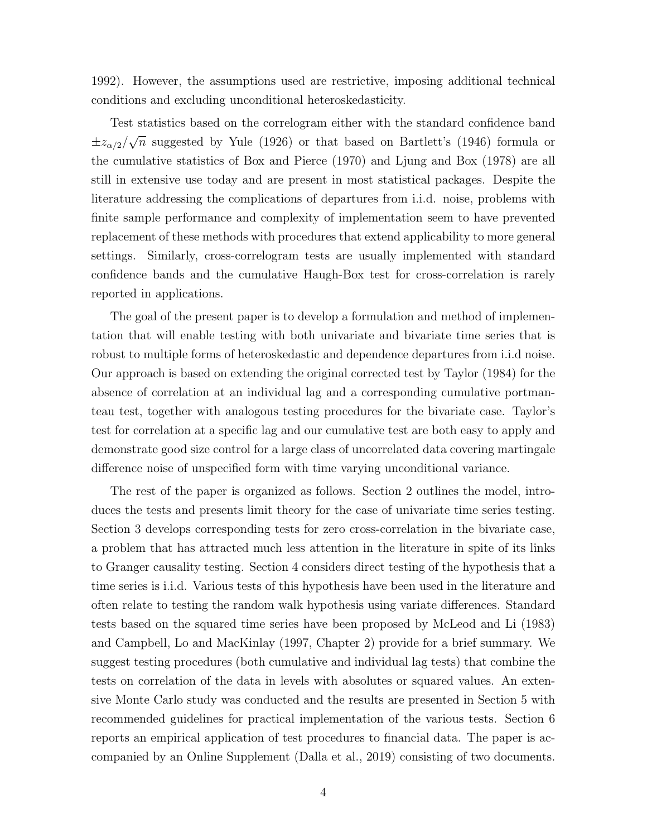1992). However, the assumptions used are restrictive, imposing additional technical conditions and excluding unconditional heteroskedasticity.

Test statistics based on the correlogram either with the standard confidence band  $\pm z_{\alpha/2}/$ √  $\overline{n}$  suggested by Yule (1926) or that based on Bartlett's (1946) formula or the cumulative statistics of Box and Pierce (1970) and Ljung and Box (1978) are all still in extensive use today and are present in most statistical packages. Despite the literature addressing the complications of departures from i.i.d. noise, problems with finite sample performance and complexity of implementation seem to have prevented replacement of these methods with procedures that extend applicability to more general settings. Similarly, cross-correlogram tests are usually implemented with standard confidence bands and the cumulative Haugh-Box test for cross-correlation is rarely reported in applications.

The goal of the present paper is to develop a formulation and method of implementation that will enable testing with both univariate and bivariate time series that is robust to multiple forms of heteroskedastic and dependence departures from i.i.d noise. Our approach is based on extending the original corrected test by Taylor (1984) for the absence of correlation at an individual lag and a corresponding cumulative portmanteau test, together with analogous testing procedures for the bivariate case. Taylor's test for correlation at a specific lag and our cumulative test are both easy to apply and demonstrate good size control for a large class of uncorrelated data covering martingale difference noise of unspecified form with time varying unconditional variance.

The rest of the paper is organized as follows. Section 2 outlines the model, introduces the tests and presents limit theory for the case of univariate time series testing. Section 3 develops corresponding tests for zero cross-correlation in the bivariate case, a problem that has attracted much less attention in the literature in spite of its links to Granger causality testing. Section 4 considers direct testing of the hypothesis that a time series is i.i.d. Various tests of this hypothesis have been used in the literature and often relate to testing the random walk hypothesis using variate differences. Standard tests based on the squared time series have been proposed by McLeod and Li (1983) and Campbell, Lo and MacKinlay (1997, Chapter 2) provide for a brief summary. We suggest testing procedures (both cumulative and individual lag tests) that combine the tests on correlation of the data in levels with absolutes or squared values. An extensive Monte Carlo study was conducted and the results are presented in Section 5 with recommended guidelines for practical implementation of the various tests. Section 6 reports an empirical application of test procedures to financial data. The paper is accompanied by an Online Supplement (Dalla et al., 2019) consisting of two documents.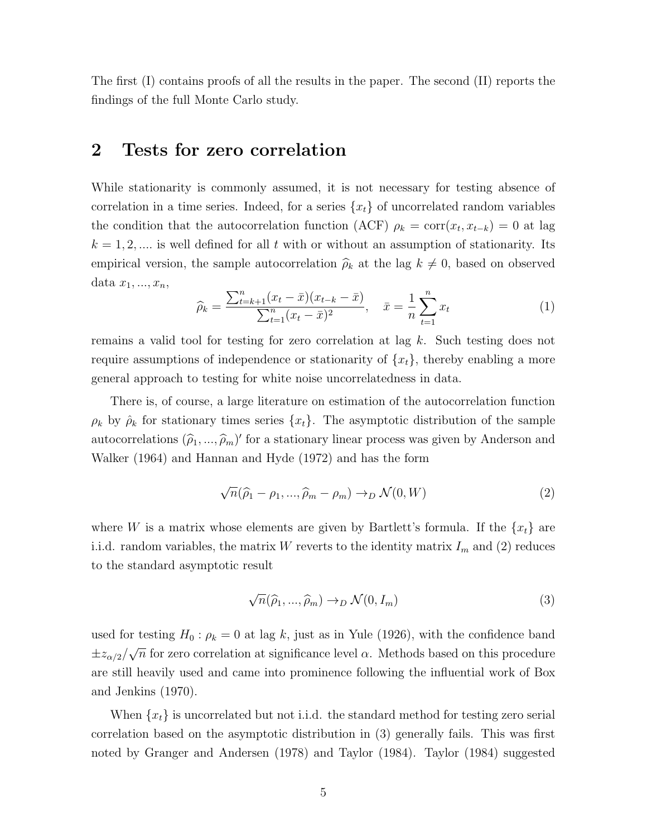The first (I) contains proofs of all the results in the paper. The second (II) reports the findings of the full Monte Carlo study.

### 2 Tests for zero correlation

While stationarity is commonly assumed, it is not necessary for testing absence of correlation in a time series. Indeed, for a series  $\{x_t\}$  of uncorrelated random variables the condition that the autocorrelation function (ACF)  $\rho_k = \text{corr}(x_t, x_{t-k}) = 0$  at lag  $k = 1, 2, \dots$  is well defined for all t with or without an assumption of stationarity. Its empirical version, the sample autocorrelation  $\hat{\rho}_k$  at the lag  $k \neq 0$ , based on observed data  $x_1, \ldots, x_n$ 

$$
\widehat{\rho}_k = \frac{\sum_{t=k+1}^n (x_t - \bar{x})(x_{t-k} - \bar{x})}{\sum_{t=1}^n (x_t - \bar{x})^2}, \quad \bar{x} = \frac{1}{n} \sum_{t=1}^n x_t
$$
\n(1)

remains a valid tool for testing for zero correlation at lag k. Such testing does not require assumptions of independence or stationarity of  $\{x_t\}$ , thereby enabling a more general approach to testing for white noise uncorrelatedness in data.

There is, of course, a large literature on estimation of the autocorrelation function  $\rho_k$  by  $\rho_k$  for stationary times series  $\{x_t\}$ . The asymptotic distribution of the sample autocorrelations  $(\hat{\rho}_1, ..., \hat{\rho}_m)'$  for a stationary linear process was given by Anderson and Walker (1964) and Hannan and Hyde (1972) and has the form

$$
\sqrt{n}(\widehat{\rho}_1 - \rho_1, ..., \widehat{\rho}_m - \rho_m) \to_D \mathcal{N}(0, W) \tag{2}
$$

where W is a matrix whose elements are given by Bartlett's formula. If the  $\{x_t\}$  are i.i.d. random variables, the matrix W reverts to the identity matrix  $I_m$  and (2) reduces to the standard asymptotic result

$$
\sqrt{n}(\widehat{\rho}_1, ..., \widehat{\rho}_m) \to_D \mathcal{N}(0, I_m)
$$
\n(3)

used for testing  $H_0: \rho_k = 0$  at lag k, just as in Yule (1926), with the confidence band  $\pm z_{\alpha/2}/\sqrt{n}$  for zero correlation at significance level  $\alpha$ . Methods based on this procedure √ are still heavily used and came into prominence following the influential work of Box and Jenkins (1970).

When  $\{x_t\}$  is uncorrelated but not i.i.d. the standard method for testing zero serial correlation based on the asymptotic distribution in (3) generally fails. This was first noted by Granger and Andersen (1978) and Taylor (1984). Taylor (1984) suggested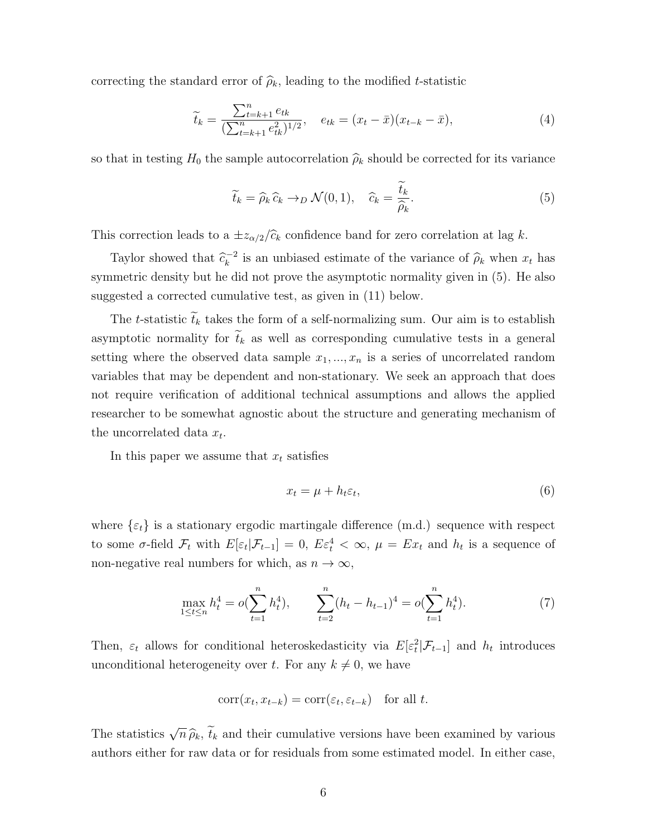correcting the standard error of  $\hat{\rho}_k$ , leading to the modified t-statistic

$$
\widetilde{t}_k = \frac{\sum_{t=k+1}^n e_{tk}}{(\sum_{t=k+1}^n e_{tk}^2)^{1/2}}, \quad e_{tk} = (x_t - \bar{x})(x_{t-k} - \bar{x}), \tag{4}
$$

so that in testing  $H_0$  the sample autocorrelation  $\hat{\rho}_k$  should be corrected for its variance

$$
\widetilde{t}_k = \widehat{\rho}_k \, \widehat{c}_k \to_D \mathcal{N}(0, 1), \quad \widehat{c}_k = \frac{\widetilde{t}_k}{\widehat{\rho}_k}.\tag{5}
$$

This correction leads to a  $\pm z_{\alpha/2}/\hat{c}_k$  confidence band for zero correlation at lag k.

Taylor showed that  $\hat{c}_k^{-2}$  $\overline{k}^2$  is an unbiased estimate of the variance of  $\hat{\rho}_k$  when  $x_t$  has symmetric density but he did not prove the asymptotic normality given in (5). He also suggested a corrected cumulative test, as given in (11) below.

The t-statistic  $\tilde{t}_k$  takes the form of a self-normalizing sum. Our aim is to establish asymptotic normality for  $\tilde{t}_k$  as well as corresponding cumulative tests in a general setting where the observed data sample  $x_1, ..., x_n$  is a series of uncorrelated random variables that may be dependent and non-stationary. We seek an approach that does not require verification of additional technical assumptions and allows the applied researcher to be somewhat agnostic about the structure and generating mechanism of the uncorrelated data  $x_t$ .

In this paper we assume that  $x_t$  satisfies

$$
x_t = \mu + h_t \varepsilon_t,\tag{6}
$$

where  $\{\varepsilon_t\}$  is a stationary ergodic martingale difference (m.d.) sequence with respect to some  $\sigma$ -field  $\mathcal{F}_t$  with  $E[\varepsilon_t|\mathcal{F}_{t-1}] = 0$ ,  $E\varepsilon_t^4 < \infty$ ,  $\mu = Ex_t$  and  $h_t$  is a sequence of non-negative real numbers for which, as  $n \to \infty$ ,

$$
\max_{1 \le t \le n} h_t^4 = o(\sum_{t=1}^n h_t^4), \qquad \sum_{t=2}^n (h_t - h_{t-1})^4 = o(\sum_{t=1}^n h_t^4). \tag{7}
$$

Then,  $\varepsilon_t$  allows for conditional heteroskedasticity via  $E[\varepsilon_t^2 | \mathcal{F}_{t-1}]$  and  $h_t$  introduces unconditional heterogeneity over t. For any  $k \neq 0$ , we have

$$
corr(x_t, x_{t-k}) = corr(\varepsilon_t, \varepsilon_{t-k}) \text{ for all } t.
$$

The statistics  $\sqrt{ }$  $\overline{n} \widehat{\rho}_k$ ,  $\overline{t}_k$  and their cumulative versions have been examined by various authors either for raw data or for residuals from some estimated model. In either case,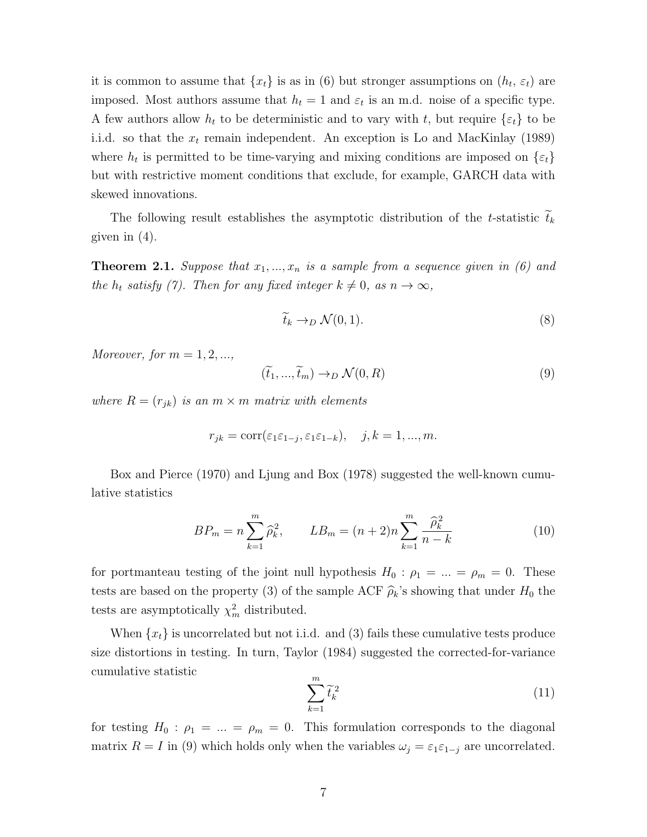it is common to assume that  $\{x_t\}$  is as in (6) but stronger assumptions on  $(h_t, \varepsilon_t)$  are imposed. Most authors assume that  $h_t = 1$  and  $\varepsilon_t$  is an m.d. noise of a specific type. A few authors allow  $h_t$  to be deterministic and to vary with t, but require  $\{\varepsilon_t\}$  to be i.i.d. so that the  $x_t$  remain independent. An exception is Lo and MacKinlay (1989) where  $h_t$  is permitted to be time-varying and mixing conditions are imposed on  $\{\varepsilon_t\}$ but with restrictive moment conditions that exclude, for example, GARCH data with skewed innovations.

The following result establishes the asymptotic distribution of the t-statistic  $\tilde{t}_k$ given in (4).

**Theorem 2.1.** Suppose that  $x_1, ..., x_n$  is a sample from a sequence given in (6) and the  $h_t$  satisfy (7). Then for any fixed integer  $k \neq 0$ , as  $n \to \infty$ ,

$$
\widetilde{t}_k \to_D \mathcal{N}(0,1). \tag{8}
$$

Moreover, for  $m = 1, 2, \dots$ ,

$$
(\tilde{t}_1, ..., \tilde{t}_m) \to_D \mathcal{N}(0, R)
$$
\n(9)

where  $R = (r_{jk})$  is an  $m \times m$  matrix with elements

$$
r_{jk} = \text{corr}(\varepsilon_1 \varepsilon_{1-j}, \varepsilon_1 \varepsilon_{1-k}), \quad j, k = 1, ..., m.
$$

Box and Pierce (1970) and Ljung and Box (1978) suggested the well-known cumulative statistics

$$
BP_m = n \sum_{k=1}^{m} \hat{\rho}_k^2, \qquad LB_m = (n+2)n \sum_{k=1}^{m} \frac{\hat{\rho}_k^2}{n-k}
$$
(10)

for portmanteau testing of the joint null hypothesis  $H_0$ :  $\rho_1 = ... = \rho_m = 0$ . These tests are based on the property (3) of the sample ACF  $\hat{\rho}_k$ 's showing that under  $H_0$  the tests are asymptotically  $\chi^2_m$  distributed.

When  $\{x_t\}$  is uncorrelated but not i.i.d. and (3) fails these cumulative tests produce size distortions in testing. In turn, Taylor (1984) suggested the corrected-for-variance cumulative statistic

$$
\sum_{k=1}^{m} \tilde{t}_k^2 \tag{11}
$$

for testing  $H_0$ :  $\rho_1 = ... = \rho_m = 0$ . This formulation corresponds to the diagonal matrix  $R = I$  in (9) which holds only when the variables  $\omega_j = \varepsilon_1 \varepsilon_{1-j}$  are uncorrelated.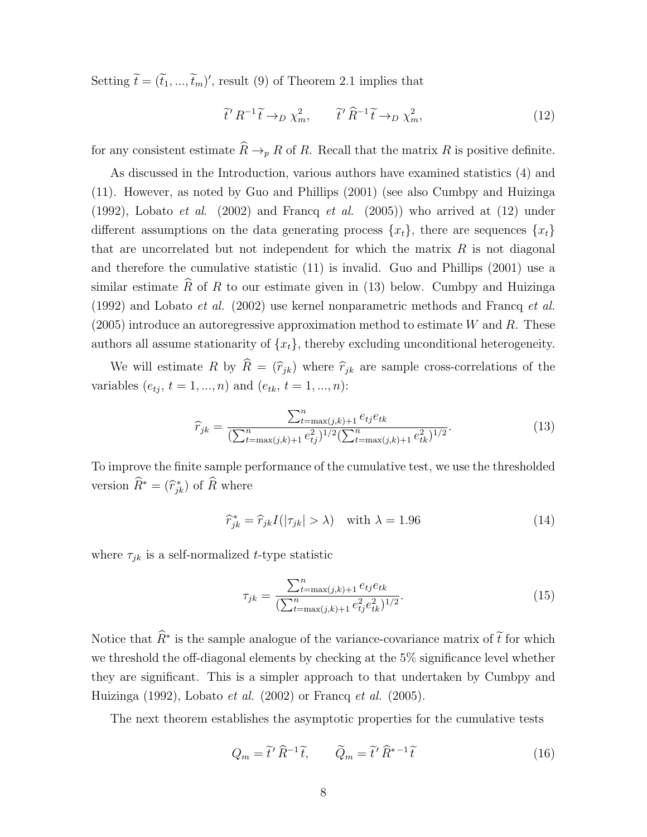Setting  $\widetilde{t} = (\widetilde{t}_1, ..., \widetilde{t}_m)'$ , result (9) of Theorem 2.1 implies that

$$
\tilde{t}' R^{-1} \tilde{t} \to_D \chi_m^2, \qquad \tilde{t}' \hat{R}^{-1} \tilde{t} \to_D \chi_m^2,\tag{12}
$$

for any consistent estimate  $\widehat{R} \to_{p} R$  of R. Recall that the matrix R is positive definite.

As discussed in the Introduction, various authors have examined statistics (4) and (11). However, as noted by Guo and Phillips (2001) (see also Cumbpy and Huizinga (1992), Lobato *et al.* (2002) and Francq *et al.* (2005)) who arrived at (12) under different assumptions on the data generating process  $\{x_t\}$ , there are sequences  $\{x_t\}$ that are uncorrelated but not independent for which the matrix  $R$  is not diagonal and therefore the cumulative statistic (11) is invalid. Guo and Phillips (2001) use a similar estimate  $\widehat{R}$  of R to our estimate given in (13) below. Cumbpy and Huizinga (1992) and Lobato et al. (2002) use kernel nonparametric methods and Francq et al.  $(2005)$  introduce an autoregressive approximation method to estimate W and R. These authors all assume stationarity of  $\{x_t\}$ , thereby excluding unconditional heterogeneity.

We will estimate R by  $\widehat{R} = (\widehat{r}_{jk})$  where  $\widehat{r}_{jk}$  are sample cross-correlations of the variables  $(e_{tj}, t = 1, ..., n)$  and  $(e_{tk}, t = 1, ..., n)$ :

$$
\widehat{r}_{jk} = \frac{\sum_{t=\max(j,k)+1}^{n} e_{tj} e_{tk}}{(\sum_{t=\max(j,k)+1}^{n} e_{tj}^2)^{1/2} (\sum_{t=\max(j,k)+1}^{n} e_{tk}^2)^{1/2}}.
$$
(13)

To improve the finite sample performance of the cumulative test, we use the thresholded version  $\widehat{R}^* = (\widehat{r}_{jk}^*)$  of  $\widehat{R}$  where

$$
\widehat{r}_{jk}^* = \widehat{r}_{jk} I(|\tau_{jk}| > \lambda) \quad \text{with } \lambda = 1.96 \tag{14}
$$

where  $\tau_{jk}$  is a self-normalized t-type statistic

$$
\tau_{jk} = \frac{\sum_{t=\max(j,k)+1}^{n} e_{ij} e_{tk}}{(\sum_{t=\max(j,k)+1}^{n} e_{ij}^2 e_{tk}^2)^{1/2}}.
$$
\n(15)

Notice that  $\widehat{R}^*$  is the sample analogue of the variance-covariance matrix of  $\widetilde{t}$  for which we threshold the off-diagonal elements by checking at the 5% significance level whether they are significant. This is a simpler approach to that undertaken by Cumbpy and Huizinga (1992), Lobato et al. (2002) or Francq et al. (2005).

The next theorem establishes the asymptotic properties for the cumulative tests

$$
Q_m = \tilde{t}' \,\hat{R}^{-1} \tilde{t}, \qquad \tilde{Q}_m = \tilde{t}' \,\hat{R}^{*-1} \tilde{t}
$$
 (16)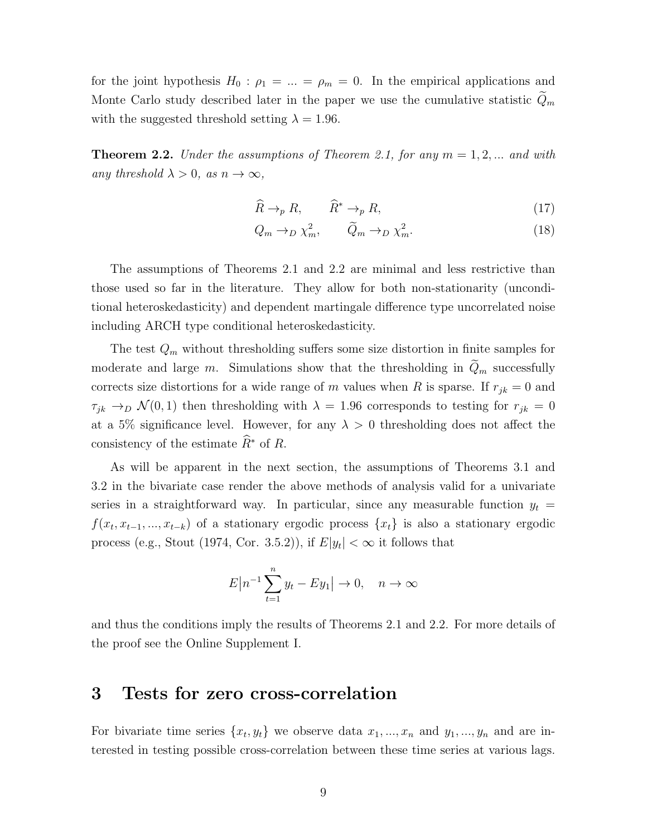for the joint hypothesis  $H_0$ :  $\rho_1 = ... = \rho_m = 0$ . In the empirical applications and Monte Carlo study described later in the paper we use the cumulative statistic  $Q_m$ with the suggested threshold setting  $\lambda = 1.96$ .

**Theorem 2.2.** Under the assumptions of Theorem 2.1, for any  $m = 1, 2, ...$  and with any threshold  $\lambda > 0$ , as  $n \to \infty$ ,

$$
\widehat{R} \to_p R, \qquad \widehat{R}^* \to_p R,\tag{17}
$$

$$
Q_m \to_D \chi_m^2, \qquad \widetilde{Q}_m \to_D \chi_m^2. \tag{18}
$$

The assumptions of Theorems 2.1 and 2.2 are minimal and less restrictive than those used so far in the literature. They allow for both non-stationarity (unconditional heteroskedasticity) and dependent martingale difference type uncorrelated noise including ARCH type conditional heteroskedasticity.

The test  $Q_m$  without thresholding suffers some size distortion in finite samples for moderate and large m. Simulations show that the thresholding in  $\tilde{Q}_m$  successfully corrects size distortions for a wide range of m values when R is sparse. If  $r_{jk} = 0$  and  $\tau_{jk} \to_D \mathcal{N}(0,1)$  then thresholding with  $\lambda = 1.96$  corresponds to testing for  $r_{jk} = 0$ at a 5% significance level. However, for any  $\lambda > 0$  thresholding does not affect the consistency of the estimate  $\widehat{R}^*$  of R.

As will be apparent in the next section, the assumptions of Theorems 3.1 and 3.2 in the bivariate case render the above methods of analysis valid for a univariate series in a straightforward way. In particular, since any measurable function  $y_t =$  $f(x_t, x_{t-1}, ..., x_{t-k})$  of a stationary ergodic process  $\{x_t\}$  is also a stationary ergodic process (e.g., Stout (1974, Cor. 3.5.2)), if  $E|y_t| < \infty$  it follows that

$$
E\big|n^{-1}\sum_{t=1}^n y_t - Ey_1\big| \to 0, \quad n \to \infty
$$

and thus the conditions imply the results of Theorems 2.1 and 2.2. For more details of the proof see the Online Supplement I.

# 3 Tests for zero cross-correlation

For bivariate time series  $\{x_t, y_t\}$  we observe data  $x_1, \ldots, x_n$  and  $y_1, \ldots, y_n$  and are interested in testing possible cross-correlation between these time series at various lags.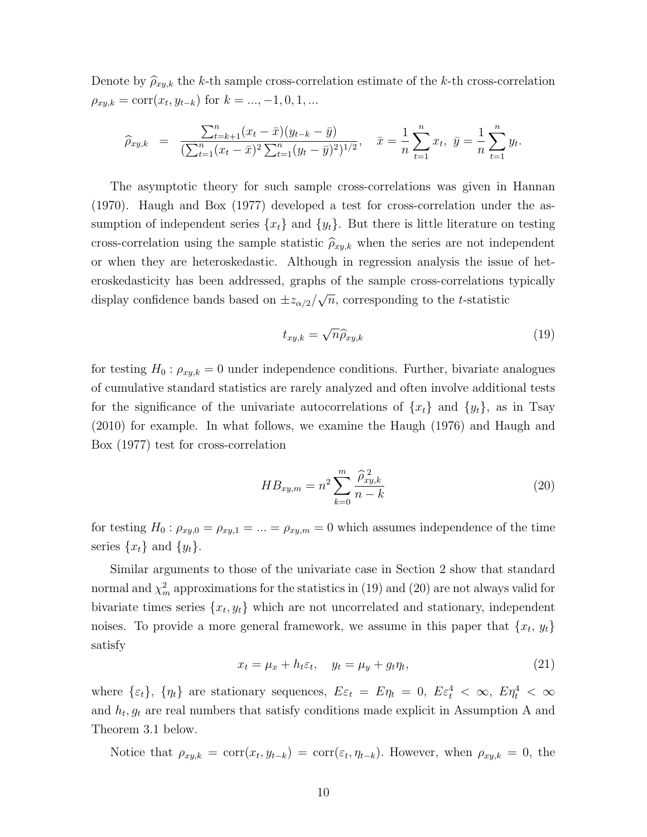Denote by  $\hat{\rho}_{xy,k}$  the k-th sample cross-correlation estimate of the k-th cross-correlation  $\rho_{xy,k} = \text{corr}(x_t, y_{t-k})$  for  $k = ..., -1, 0, 1, ...$ 

$$
\widehat{\rho}_{xy,k} = \frac{\sum_{t=k+1}^{n} (x_t - \bar{x})(y_{t-k} - \bar{y})}{(\sum_{t=1}^{n} (x_t - \bar{x})^2 \sum_{t=1}^{n} (y_t - \bar{y})^2)^{1/2}}, \quad \bar{x} = \frac{1}{n} \sum_{t=1}^{n} x_t, \ \bar{y} = \frac{1}{n} \sum_{t=1}^{n} y_t.
$$

The asymptotic theory for such sample cross-correlations was given in Hannan (1970). Haugh and Box (1977) developed a test for cross-correlation under the assumption of independent series  $\{x_t\}$  and  $\{y_t\}$ . But there is little literature on testing cross-correlation using the sample statistic  $\hat{\rho}_{xy,k}$  when the series are not independent or when they are heteroskedastic. Although in regression analysis the issue of heteroskedasticity has been addressed, graphs of the sample cross-correlations typically display confidence bands based on  $\pm z_{\alpha/2}/z$ √  $\overline{n}$ , corresponding to the *t*-statistic

$$
t_{xy,k} = \sqrt{n} \widehat{\rho}_{xy,k} \tag{19}
$$

for testing  $H_0: \rho_{xy,k} = 0$  under independence conditions. Further, bivariate analogues of cumulative standard statistics are rarely analyzed and often involve additional tests for the significance of the univariate autocorrelations of  $\{x_t\}$  and  $\{y_t\}$ , as in Tsay (2010) for example. In what follows, we examine the Haugh (1976) and Haugh and Box (1977) test for cross-correlation

$$
HB_{xy,m} = n^2 \sum_{k=0}^{m} \frac{\hat{\rho}_{xy,k}^2}{n-k}
$$
 (20)

for testing  $H_0: \rho_{xy,0} = \rho_{xy,1} = ... = \rho_{xy,m} = 0$  which assumes independence of the time series  $\{x_t\}$  and  $\{y_t\}$ .

Similar arguments to those of the univariate case in Section 2 show that standard normal and  $\chi^2_m$  approximations for the statistics in (19) and (20) are not always valid for bivariate times series  $\{x_t, y_t\}$  which are not uncorrelated and stationary, independent noises. To provide a more general framework, we assume in this paper that  $\{x_t, y_t\}$ satisfy

$$
x_t = \mu_x + h_t \varepsilon_t, \quad y_t = \mu_y + g_t \eta_t,
$$
\n<sup>(21)</sup>

where  $\{\varepsilon_t\}, \{\eta_t\}$  are stationary sequences,  $E\varepsilon_t = E\eta_t = 0, E\varepsilon_t^4 < \infty, E\eta_t^4 < \infty$ and  $h_t, g_t$  are real numbers that satisfy conditions made explicit in Assumption A and Theorem 3.1 below.

Notice that  $\rho_{xy,k} = \text{corr}(x_t, y_{t-k}) = \text{corr}(\varepsilon_t, \eta_{t-k})$ . However, when  $\rho_{xy,k} = 0$ , the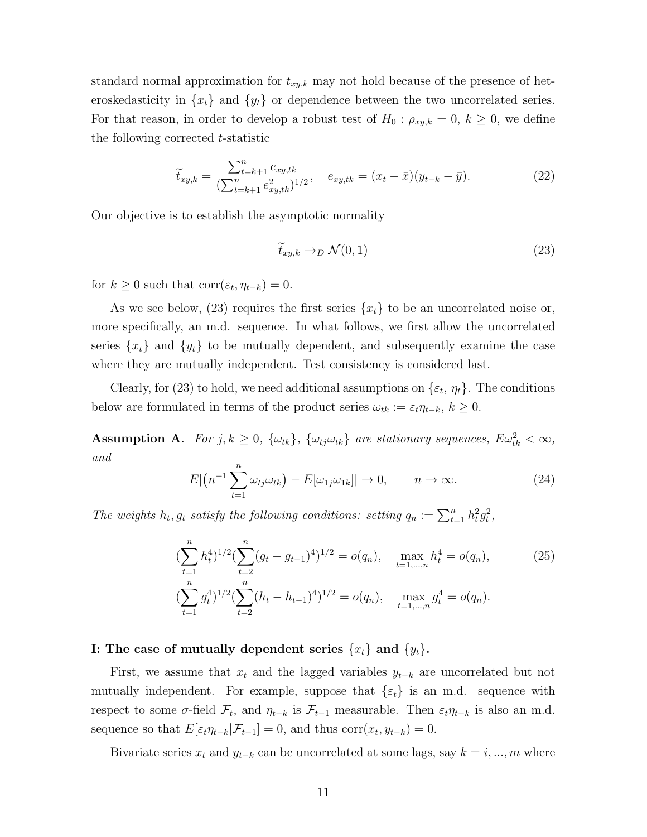standard normal approximation for  $t_{xy,k}$  may not hold because of the presence of heteroskedasticity in  $\{x_t\}$  and  $\{y_t\}$  or dependence between the two uncorrelated series. For that reason, in order to develop a robust test of  $H_0: \rho_{xy,k} = 0, k \geq 0$ , we define the following corrected t-statistic

$$
\widetilde{t}_{xy,k} = \frac{\sum_{t=k+1}^{n} e_{xy,tk}}{(\sum_{t=k+1}^{n} e_{xy,tk}^2)^{1/2}}, \quad e_{xy,tk} = (x_t - \bar{x})(y_{t-k} - \bar{y}). \tag{22}
$$

Our objective is to establish the asymptotic normality

$$
\tilde{t}_{xy,k} \to_D \mathcal{N}(0,1) \tag{23}
$$

for  $k \geq 0$  such that  $\text{corr}(\varepsilon_t, \eta_{t-k}) = 0$ .

As we see below, (23) requires the first series  $\{x_t\}$  to be an uncorrelated noise or, more specifically, an m.d. sequence. In what follows, we first allow the uncorrelated series  $\{x_t\}$  and  $\{y_t\}$  to be mutually dependent, and subsequently examine the case where they are mutually independent. Test consistency is considered last.

Clearly, for (23) to hold, we need additional assumptions on  $\{\varepsilon_t, \eta_t\}$ . The conditions below are formulated in terms of the product series  $\omega_{tk} := \varepsilon_t \eta_{t-k}, k \geq 0$ .

**Assumption A**. For  $j, k \ge 0$ ,  $\{\omega_{tk}\}\$ ,  $\{\omega_{tj}\omega_{tk}\}\$  are stationary sequences,  $E\omega_{tk}^2 < \infty$ , and

$$
E\left|\left(n^{-1}\sum_{t=1}^{n}\omega_{tj}\omega_{tk}\right)-E\left[\omega_{1j}\omega_{1k}\right]\right|\to 0, \qquad n\to\infty.
$$
 (24)

The weights  $h_t$ ,  $g_t$  satisfy the following conditions: setting  $q_n := \sum_{t=1}^n h_t^2 g_t^2$ ,

$$
\left(\sum_{t=1}^{n} h_t^4\right)^{1/2} \left(\sum_{t=2}^{n} (g_t - g_{t-1})^4\right)^{1/2} = o(q_n), \quad \max_{t=1,\dots,n} h_t^4 = o(q_n),
$$
\n
$$
\left(\sum_{t=1}^{n} g_t^4\right)^{1/2} \left(\sum_{t=2}^{n} (h_t - h_{t-1})^4\right)^{1/2} = o(q_n), \quad \max_{t=1,\dots,n} g_t^4 = o(q_n).
$$
\n(25)

#### I: The case of mutually dependent series  $\{x_t\}$  and  $\{y_t\}$ .

First, we assume that  $x_t$  and the lagged variables  $y_{t-k}$  are uncorrelated but not mutually independent. For example, suppose that  $\{\varepsilon_t\}$  is an m.d. sequence with respect to some  $\sigma$ -field  $\mathcal{F}_t$ , and  $\eta_{t-k}$  is  $\mathcal{F}_{t-1}$  measurable. Then  $\varepsilon_t \eta_{t-k}$  is also an m.d. sequence so that  $E[\varepsilon_t \eta_{t-k} | \mathcal{F}_{t-1}] = 0$ , and thus corr $(x_t, y_{t-k}) = 0$ .

Bivariate series  $x_t$  and  $y_{t-k}$  can be uncorrelated at some lags, say  $k = i, ..., m$  where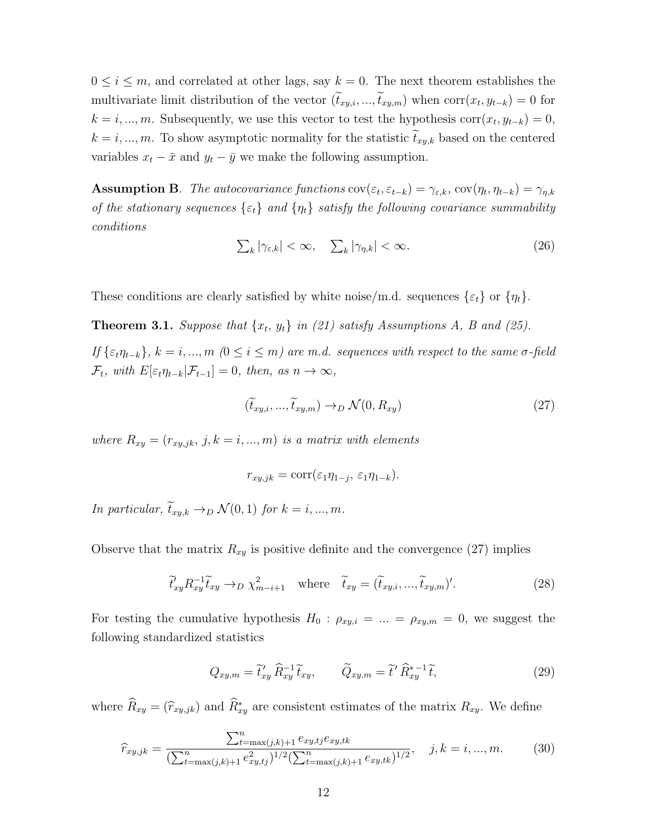$0 \leq i \leq m$ , and correlated at other lags, say  $k = 0$ . The next theorem establishes the multivariate limit distribution of the vector  $(t_{xy,i},...,t_{xy,m})$  when  $corr(x_t, y_{t-k}) = 0$  for  $k = i, ..., m$ . Subsequently, we use this vector to test the hypothesis corr $(x_t, y_{t-k}) = 0$ ,  $k = i, ..., m$ . To show asymptotic normality for the statistic  $t_{xy,k}$  based on the centered variables  $x_t - \bar{x}$  and  $y_t - \bar{y}$  we make the following assumption.

**Assumption B**. The autocovariance functions  $cov(\varepsilon_t, \varepsilon_{t-k}) = \gamma_{\varepsilon,k}$ ,  $cov(\eta_t, \eta_{t-k}) = \gamma_{\eta,k}$ of the stationary sequences  $\{\varepsilon_t\}$  and  $\{\eta_t\}$  satisfy the following covariance summability conditions

$$
\sum_{k} |\gamma_{\varepsilon,k}| < \infty, \quad \sum_{k} |\gamma_{\eta,k}| < \infty. \tag{26}
$$

These conditions are clearly satisfied by white noise/m.d. sequences  $\{\varepsilon_t\}$  or  $\{\eta_t\}$ .

**Theorem 3.1.** Suppose that  $\{x_t, y_t\}$  in (21) satisfy Assumptions A, B and (25).

If  $\{\varepsilon_t\eta_{t-k}\}, k = i, ..., m \ (0 \le i \le m)$  are m.d. sequences with respect to the same  $\sigma$ -field  $\mathcal{F}_t$ , with  $E[\varepsilon_t \eta_{t-k} | \mathcal{F}_{t-1}] = 0$ , then, as  $n \to \infty$ ,

$$
(\widetilde{t}_{xy,i},...,\widetilde{t}_{xy,m}) \to_D \mathcal{N}(0,R_{xy})
$$
\n(27)

where  $R_{xy} = (r_{xy,jk}, j, k = i, ..., m)$  is a matrix with elements

$$
r_{xy,jk} = \text{corr}(\varepsilon_1 \eta_{1-j}, \varepsilon_1 \eta_{1-k}).
$$

In particular,  $\widetilde{t}_{xy,k} \rightarrow_D \mathcal{N}(0,1)$  for  $k = i, ..., m$ .

Observe that the matrix  $R_{xy}$  is positive definite and the convergence (27) implies

$$
\widetilde{t}_{xy}' R_{xy}^{-1} \widetilde{t}_{xy} \to_D \chi^2_{m-i+1} \quad \text{where} \quad \widetilde{t}_{xy} = (\widetilde{t}_{xy,i}, ..., \widetilde{t}_{xy,m})'. \tag{28}
$$

For testing the cumulative hypothesis  $H_0$ :  $\rho_{xy,i} = ... = \rho_{xy,m} = 0$ , we suggest the following standardized statistics

$$
Q_{xy,m} = \tilde{t}'_{xy} \hat{R}_{xy}^{-1} \tilde{t}_{xy}, \qquad \tilde{Q}_{xy,m} = \tilde{t}' \hat{R}_{xy}^{*-1} \tilde{t}, \qquad (29)
$$

where  $\widehat{R}_{xy} = (\widehat{r}_{xy,jk})$  and  $\widehat{R}_{xy}^*$  are consistent estimates of the matrix  $R_{xy}$ . We define

$$
\hat{r}_{xy,jk} = \frac{\sum_{t=\max(j,k)+1}^{n} e_{xy,tj} e_{xy,tk}}{(\sum_{t=\max(j,k)+1}^{n} e_{xy,tj}^2)^{1/2} (\sum_{t=\max(j,k)+1}^{n} e_{xy,tk})^{1/2}}, \quad j, k = i, ..., m.
$$
 (30)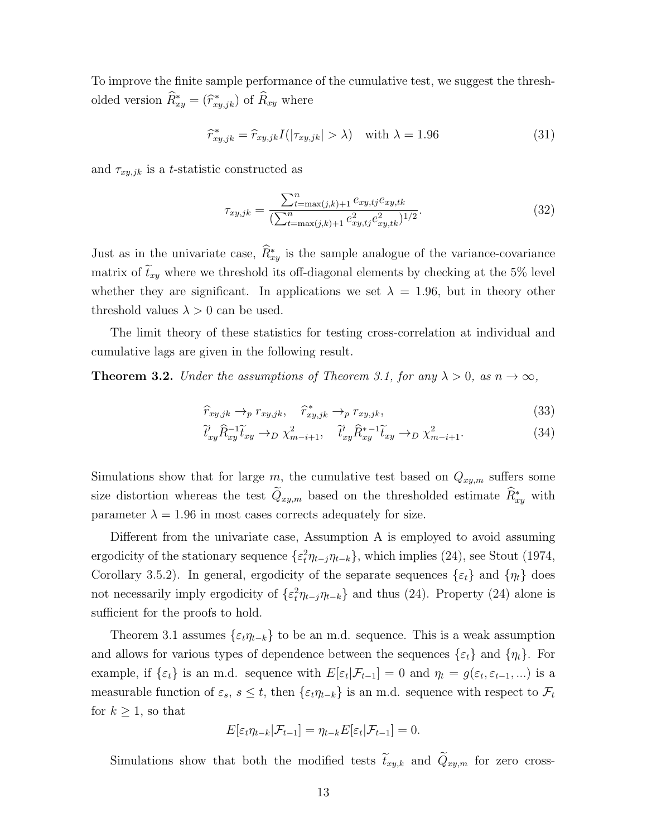To improve the finite sample performance of the cumulative test, we suggest the thresholded version  $\widehat{R}^*_{xy} = (\widehat{r}^*_{xy,jk})$  of  $\widehat{R}_{xy}$  where

$$
\hat{r}_{xy,jk}^* = \hat{r}_{xy,jk} I(|\tau_{xy,jk}| > \lambda) \quad \text{with } \lambda = 1.96 \tag{31}
$$

and  $\tau_{xy,jk}$  is a t-statistic constructed as

$$
\tau_{xy,jk} = \frac{\sum_{t=\max(j,k)+1}^{n} e_{xy,tj} e_{xy,tk}}{\left(\sum_{t=\max(j,k)+1}^{n} e_{xy,tj}^2 e_{xy,tk}^2\right)^{1/2}}.
$$
\n(32)

Just as in the univariate case,  $\widehat{R}_{xy}^*$  is the sample analogue of the variance-covariance matrix of  $t_{xy}$  where we threshold its off-diagonal elements by checking at the 5% level whether they are significant. In applications we set  $\lambda = 1.96$ , but in theory other threshold values  $\lambda > 0$  can be used.

The limit theory of these statistics for testing cross-correlation at individual and cumulative lags are given in the following result.

**Theorem 3.2.** Under the assumptions of Theorem 3.1, for any  $\lambda > 0$ , as  $n \to \infty$ ,

$$
\widehat{r}_{xy,jk} \rightarrow_p r_{xy,jk}, \quad \widehat{r}_{xy,jk}^* \rightarrow_p r_{xy,jk}, \tag{33}
$$

$$
\widetilde{t}_{xy}' \widehat{R}_{xy}^{-1} \widetilde{t}_{xy} \rightarrow_D \chi^2_{m-i+1}, \quad \widetilde{t}_{xy}' \widehat{R}_{xy}^{*-1} \widetilde{t}_{xy} \rightarrow_D \chi^2_{m-i+1}.
$$
\n(34)

Simulations show that for large m, the cumulative test based on  $Q_{xy,m}$  suffers some size distortion whereas the test  $\tilde{Q}_{xy,m}$  based on the thresholded estimate  $\tilde{R}_{xy}^*$  with parameter  $\lambda = 1.96$  in most cases corrects adequately for size.

Different from the univariate case, Assumption A is employed to avoid assuming ergodicity of the stationary sequence  $\{\varepsilon_t^2 \eta_{t-j} \eta_{t-k}\}\,$ , which implies (24), see Stout (1974, Corollary 3.5.2). In general, ergodicity of the separate sequences  $\{\varepsilon_t\}$  and  $\{\eta_t\}$  does not necessarily imply ergodicity of  $\{\varepsilon_t^2 \eta_{t-j} \eta_{t-k}\}\$  and thus (24). Property (24) alone is sufficient for the proofs to hold.

Theorem 3.1 assumes  $\{\varepsilon_t\eta_{t-k}\}\$ to be an m.d. sequence. This is a weak assumption and allows for various types of dependence between the sequences  $\{\varepsilon_t\}$  and  $\{\eta_t\}$ . For example, if  $\{\varepsilon_t\}$  is an m.d. sequence with  $E[\varepsilon_t|\mathcal{F}_{t-1}] = 0$  and  $\eta_t = g(\varepsilon_t, \varepsilon_{t-1}, ...)$  is a measurable function of  $\varepsilon_s$ ,  $s \leq t$ , then  $\{\varepsilon_t \eta_{t-k}\}$  is an m.d. sequence with respect to  $\mathcal{F}_t$ for  $k \geq 1$ , so that

$$
E[\varepsilon_t \eta_{t-k} | \mathcal{F}_{t-1}] = \eta_{t-k} E[\varepsilon_t | \mathcal{F}_{t-1}] = 0.
$$

Simulations show that both the modified tests  $\tilde{t}_{xy,k}$  and  $\tilde{Q}_{xy,m}$  for zero cross-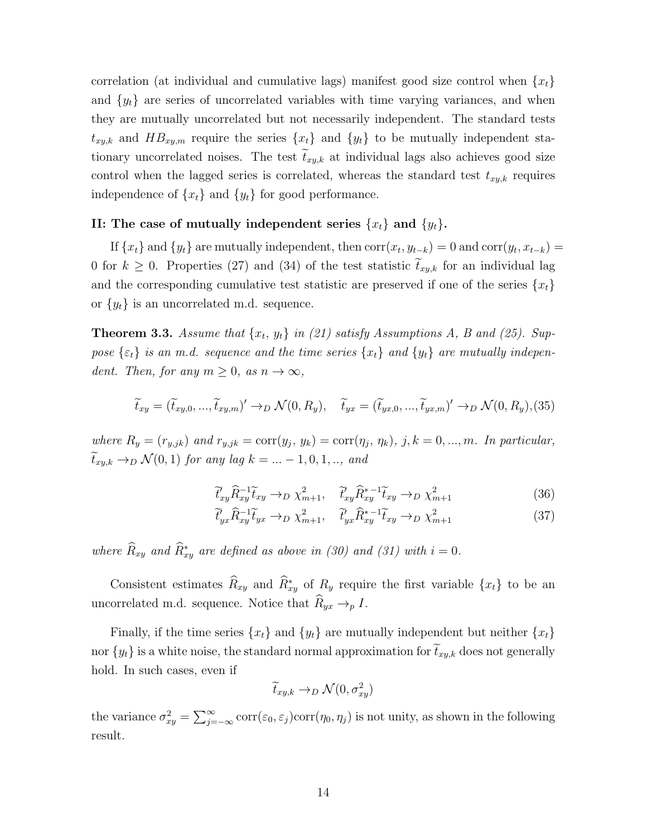correlation (at individual and cumulative lags) manifest good size control when  $\{x_t\}$ and  $\{y_t\}$  are series of uncorrelated variables with time varying variances, and when they are mutually uncorrelated but not necessarily independent. The standard tests  $t_{xy,k}$  and  $HB_{xy,m}$  require the series  $\{x_t\}$  and  $\{y_t\}$  to be mutually independent stationary uncorrelated noises. The test  $\tilde{t}_{xy,k}$  at individual lags also achieves good size control when the lagged series is correlated, whereas the standard test  $t_{xy,k}$  requires independence of  $\{x_t\}$  and  $\{y_t\}$  for good performance.

#### II: The case of mutually independent series  $\{x_t\}$  and  $\{y_t\}$ .

If  $\{x_t\}$  and  $\{y_t\}$  are mutually independent, then  $\text{corr}(x_t, y_{t-k}) = 0$  and  $\text{corr}(y_t, x_{t-k}) = 0$ 0 for  $k \geq 0$ . Properties (27) and (34) of the test statistic  $\tilde{t}_{xy,k}$  for an individual lag and the corresponding cumulative test statistic are preserved if one of the series  $\{x_t\}$ or  $\{y_t\}$  is an uncorrelated m.d. sequence.

**Theorem 3.3.** Assume that  $\{x_t, y_t\}$  in (21) satisfy Assumptions A, B and (25). Suppose  $\{\varepsilon_t\}$  is an m.d. sequence and the time series  $\{x_t\}$  and  $\{y_t\}$  are mutually independent. Then, for any  $m \geq 0$ , as  $n \to \infty$ ,

$$
\widetilde{t}_{xy} = (\widetilde{t}_{xy,0}, \ldots, \widetilde{t}_{xy,m})' \rightarrow_D \mathcal{N}(0, R_y), \quad \widetilde{t}_{yx} = (\widetilde{t}_{yx,0}, \ldots, \widetilde{t}_{yx,m})' \rightarrow_D \mathcal{N}(0, R_y), (35)
$$

where  $R_y = (r_{y,jk})$  and  $r_{y,jk} = \text{corr}(y_j, y_k) = \text{corr}(\eta_j, \eta_k)$ ,  $j, k = 0, ..., m$ . In particular,  $\tilde{t}_{xy,k} \to_D \mathcal{N}(0,1)$  for any lag  $k = ... -1, 0, 1, ...$ , and

$$
\tilde{t}_{xy}^{\prime} \hat{R}_{xy}^{-1} \tilde{t}_{xy} \rightarrow_D \chi_{m+1}^2, \quad \tilde{t}_{xy}^{\prime} \hat{R}_{xy}^{*-1} \tilde{t}_{xy} \rightarrow_D \chi_{m+1}^2 \tag{36}
$$

$$
\tilde{t}_{yx}' \hat{R}_{xy}^{-1} \tilde{t}_{yx} \rightarrow_D \chi_{m+1}^2, \quad \tilde{t}_{yx}' \hat{R}_{xy}^{*-1} \tilde{t}_{xy} \rightarrow_D \chi_{m+1}^2 \tag{37}
$$

where  $\widehat{R}_{xy}$  and  $\widehat{R}_{xy}^{*}$  are defined as above in (30) and (31) with  $i = 0$ .

Consistent estimates  $\widehat{R}_{xy}$  and  $\widehat{R}_{xy}^*$  of  $R_y$  require the first variable  $\{x_t\}$  to be an uncorrelated m.d. sequence. Notice that  $\hat{R}_{yx} \rightarrow_p I$ .

Finally, if the time series  $\{x_t\}$  and  $\{y_t\}$  are mutually independent but neither  $\{x_t\}$ nor  $\{y_t\}$  is a white noise, the standard normal approximation for  $\tilde{t}_{xy,k}$  does not generally hold. In such cases, even if

$$
\widetilde{t}_{xy,k} \to_D \mathcal{N}(0, \sigma_{xy}^2)
$$

the variance  $\sigma_{xy}^2 = \sum_{j=-\infty}^{\infty} \text{corr}(\varepsilon_0, \varepsilon_j) \text{corr}(\eta_0, \eta_j)$  is not unity, as shown in the following result.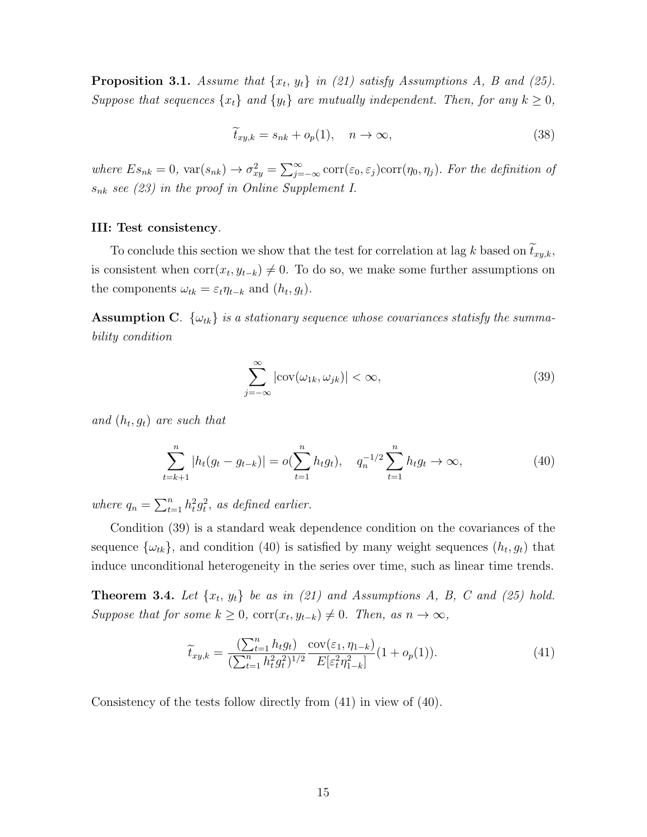**Proposition 3.1.** Assume that  $\{x_t, y_t\}$  in (21) satisfy Assumptions A, B and (25). Suppose that sequences  $\{x_t\}$  and  $\{y_t\}$  are mutually independent. Then, for any  $k \geq 0$ ,

$$
\widetilde{t}_{xy,k} = s_{nk} + o_p(1), \quad n \to \infty,
$$
\n(38)

where  $Es_{nk} = 0$ ,  $var(s_{nk}) \to \sigma_{xy}^2 = \sum_{j=-\infty}^{\infty} corr(\epsilon_0, \epsilon_j) corr(\eta_0, \eta_j)$ . For the definition of  $s_{nk}$  see (23) in the proof in Online Supplement I.

#### III: Test consistency.

To conclude this section we show that the test for correlation at lag k based on  $\tilde{t}_{xy,k}$ , is consistent when  $corr(x_t, y_{t-k}) \neq 0$ . To do so, we make some further assumptions on the components  $\omega_{tk} = \varepsilon_t \eta_{t-k}$  and  $(h_t, g_t)$ .

**Assumption C.**  $\{\omega_{tk}\}\$ is a stationary sequence whose covariances statisfy the summability condition

$$
\sum_{j=-\infty}^{\infty} |\text{cov}(\omega_{1k}, \omega_{jk})| < \infty,
$$
\n(39)

and  $(h_t, g_t)$  are such that

$$
\sum_{t=k+1}^{n} |h_t(g_t - g_{t-k})| = o(\sum_{t=1}^{n} h_t g_t), \quad q_n^{-1/2} \sum_{t=1}^{n} h_t g_t \to \infty,
$$
\n(40)

where  $q_n = \sum_{t=1}^n h_t^2 g_t^2$ , as defined earlier.

Condition (39) is a standard weak dependence condition on the covariances of the sequence  $\{\omega_{tk}\}\text{, and condition (40) is satisfied by many weight sequences } (h_t, g_t) \text{ that }$ induce unconditional heterogeneity in the series over time, such as linear time trends.

**Theorem 3.4.** Let  $\{x_t, y_t\}$  be as in (21) and Assumptions A, B, C and (25) hold. Suppose that for some  $k \geq 0$ ,  $corr(x_t, y_{t-k}) \neq 0$ . Then, as  $n \to \infty$ ,

$$
\widetilde{t}_{xy,k} = \frac{\left(\sum_{t=1}^{n} h_t g_t\right)}{\left(\sum_{t=1}^{n} h_t^2 g_t^2\right)^{1/2}} \frac{\text{cov}(\varepsilon_1, \eta_{1-k})}{E[\varepsilon_t^2 \eta_{1-k}^2]} (1 + o_p(1)).\tag{41}
$$

Consistency of the tests follow directly from (41) in view of (40).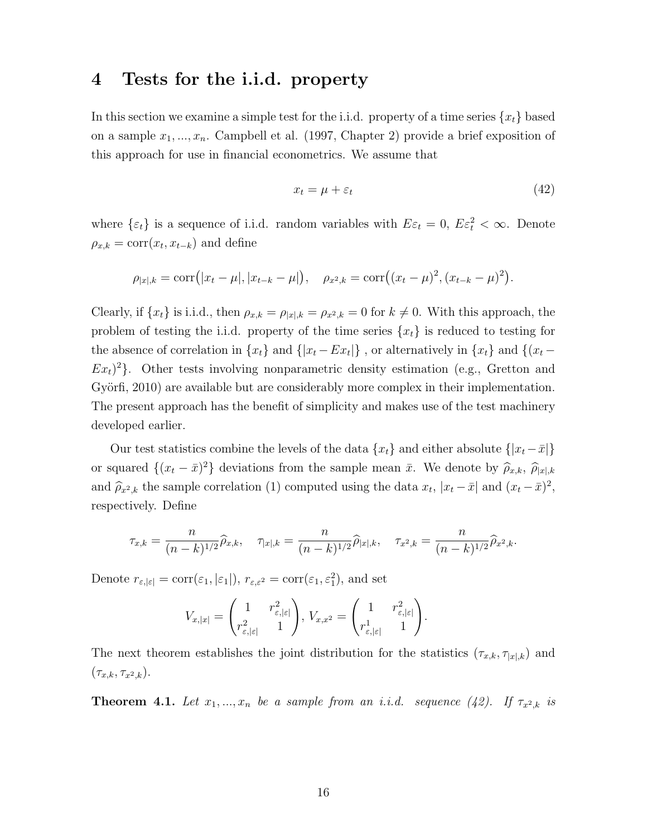### 4 Tests for the i.i.d. property

In this section we examine a simple test for the i.i.d. property of a time series  $\{x_t\}$  based on a sample  $x_1, \ldots, x_n$ . Campbell et al. (1997, Chapter 2) provide a brief exposition of this approach for use in financial econometrics. We assume that

$$
x_t = \mu + \varepsilon_t \tag{42}
$$

where  $\{\varepsilon_t\}$  is a sequence of i.i.d. random variables with  $E\varepsilon_t = 0$ ,  $E\varepsilon_t^2 < \infty$ . Denote  $\rho_{x,k} = \text{corr}(x_t, x_{t-k})$  and define

$$
\rho_{|x|,k} = \text{corr}(|x_t - \mu|, |x_{t-k} - \mu|), \quad \rho_{x^2,k} = \text{corr}((x_t - \mu)^2, (x_{t-k} - \mu)^2).
$$

Clearly, if  $\{x_t\}$  is i.i.d., then  $\rho_{x,k} = \rho_{|x|,k} = \rho_{x^2,k} = 0$  for  $k \neq 0$ . With this approach, the problem of testing the i.i.d. property of the time series  $\{x_t\}$  is reduced to testing for the absence of correlation in  $\{x_t\}$  and  $\{|x_t - Ex_t|\}$ , or alternatively in  $\{x_t\}$  and  $\{(x_t - E_x)\}$  $Ex<sub>t</sub>$ <sup>2</sup>. Other tests involving nonparametric density estimation (e.g., Gretton and Györfi, 2010) are available but are considerably more complex in their implementation. The present approach has the benefit of simplicity and makes use of the test machinery developed earlier.

Our test statistics combine the levels of the data  ${x_t}$  and either absolute  ${ |x_t - \bar{x}| }$ or squared  $\{(x_t - \bar{x})^2\}$  deviations from the sample mean  $\bar{x}$ . We denote by  $\hat{\rho}_{x,k}$ ,  $\hat{\rho}_{|x|,k}$ and  $\hat{\rho}_{x^2,k}$  the sample correlation (1) computed using the data  $x_t$ ,  $|x_t - \bar{x}|$  and  $(x_t - \bar{x})^2$ , respectively. Define

$$
\tau_{x,k} = \frac{n}{(n-k)^{1/2}} \widehat{\rho}_{x,k}, \quad \tau_{|x|,k} = \frac{n}{(n-k)^{1/2}} \widehat{\rho}_{|x|,k}, \quad \tau_{x^2,k} = \frac{n}{(n-k)^{1/2}} \widehat{\rho}_{x^2,k}.
$$

Denote  $r_{\varepsilon, |\varepsilon|} = \text{corr}(\varepsilon_1, |\varepsilon_1|), r_{\varepsilon, \varepsilon^2} = \text{corr}(\varepsilon_1, \varepsilon_1^2),$  and set

$$
V_{x,|x|} = \begin{pmatrix} 1 & r_{\varepsilon,|\varepsilon|}^2 \\ r_{\varepsilon,|\varepsilon|}^2 & 1 \end{pmatrix}, V_{x,x^2} = \begin{pmatrix} 1 & r_{\varepsilon,|\varepsilon|}^2 \\ r_{\varepsilon,|\varepsilon|}^1 & 1 \end{pmatrix}.
$$

The next theorem establishes the joint distribution for the statistics  $(\tau_{x,k}, \tau_{|x|,k})$  and  $(\tau_{x,k}, \tau_{x^2,k}).$ 

**Theorem 4.1.** Let  $x_1, ..., x_n$  be a sample from an i.i.d. sequence (42). If  $\tau_{x^2,k}$  is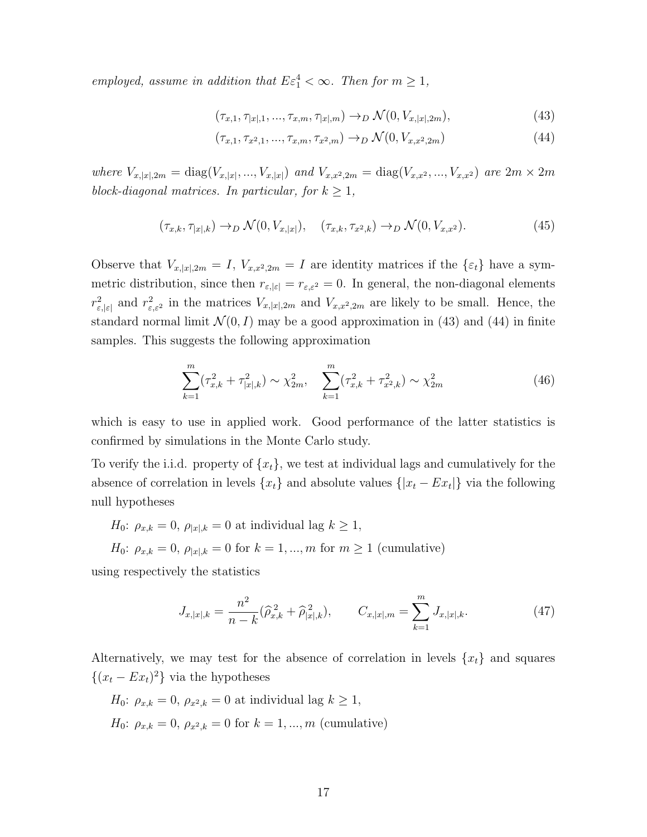employed, assume in addition that  $E \varepsilon_1^4 < \infty$ . Then for  $m \ge 1$ ,

$$
(\tau_{x,1}, \tau_{|x|,1}, \dots, \tau_{x,m}, \tau_{|x|,m}) \to_D \mathcal{N}(0, V_{x,|x|,2m}),
$$
\n(43)

$$
(\tau_{x,1}, \tau_{x^2,1}, \ldots, \tau_{x,m}, \tau_{x^2,m}) \to_D \mathcal{N}(0, V_{x,x^2,2m})
$$
\n(44)

where  $V_{x,|x|,2m} = \text{diag}(V_{x,|x|},...,V_{x,|x|})$  and  $V_{x,x^2,2m} = \text{diag}(V_{x,x^2},...,V_{x,x^2})$  are  $2m \times 2m$ block-diagonal matrices. In particular, for  $k \geq 1$ ,

$$
(\tau_{x,k}, \tau_{|x|,k}) \to_D \mathcal{N}(0, V_{x,|x|}), \quad (\tau_{x,k}, \tau_{x^2,k}) \to_D \mathcal{N}(0, V_{x,x^2}). \tag{45}
$$

Observe that  $V_{x,|x|,2m} = I$ ,  $V_{x,x^2,2m} = I$  are identity matrices if the  $\{\varepsilon_t\}$  have a symmetric distribution, since then  $r_{\varepsilon,\lvert\varepsilon\rvert} = r_{\varepsilon,\varepsilon^2} = 0$ . In general, the non-diagonal elements  $r_{\varepsilon,|\varepsilon|}^2$  and  $r_{\varepsilon,\varepsilon^2}^2$  in the matrices  $V_{x,|x|,2m}$  and  $V_{x,x^2,2m}$  are likely to be small. Hence, the standard normal limit  $\mathcal{N}(0, I)$  may be a good approximation in (43) and (44) in finite samples. This suggests the following approximation

$$
\sum_{k=1}^{m} (\tau_{x,k}^2 + \tau_{|x|,k}^2) \sim \chi_{2m}^2, \quad \sum_{k=1}^{m} (\tau_{x,k}^2 + \tau_{x^2,k}^2) \sim \chi_{2m}^2 \tag{46}
$$

which is easy to use in applied work. Good performance of the latter statistics is confirmed by simulations in the Monte Carlo study.

To verify the i.i.d. property of  $\{x_t\}$ , we test at individual lags and cumulatively for the absence of correlation in levels  $\{x_t\}$  and absolute values  $\{|x_t - Ex_t|\}$  via the following null hypotheses

 $H_0: \rho_{x,k} = 0, \rho_{|x|,k} = 0$  at individual lag  $k \geq 1$ ,

 $H_0: \rho_{x,k} = 0, \rho_{|x|,k} = 0$  for  $k = 1, ..., m$  for  $m \ge 1$  (cumulative)

using respectively the statistics

$$
J_{x,|x|,k} = \frac{n^2}{n-k} (\widehat{\rho}_{x,k}^2 + \widehat{\rho}_{|x|,k}^2), \qquad C_{x,|x|,m} = \sum_{k=1}^m J_{x,|x|,k}.
$$
 (47)

Alternatively, we may test for the absence of correlation in levels  $\{x_t\}$  and squares  $\{(x_t - Ex_t)^2\}$  via the hypotheses

 $H_0$ :  $\rho_{x,k} = 0$ ,  $\rho_{x^2,k} = 0$  at individual lag  $k \geq 1$ ,  $H_0: \rho_{x,k} = 0, \rho_{x^2,k} = 0$  for  $k = 1, ..., m$  (cumulative)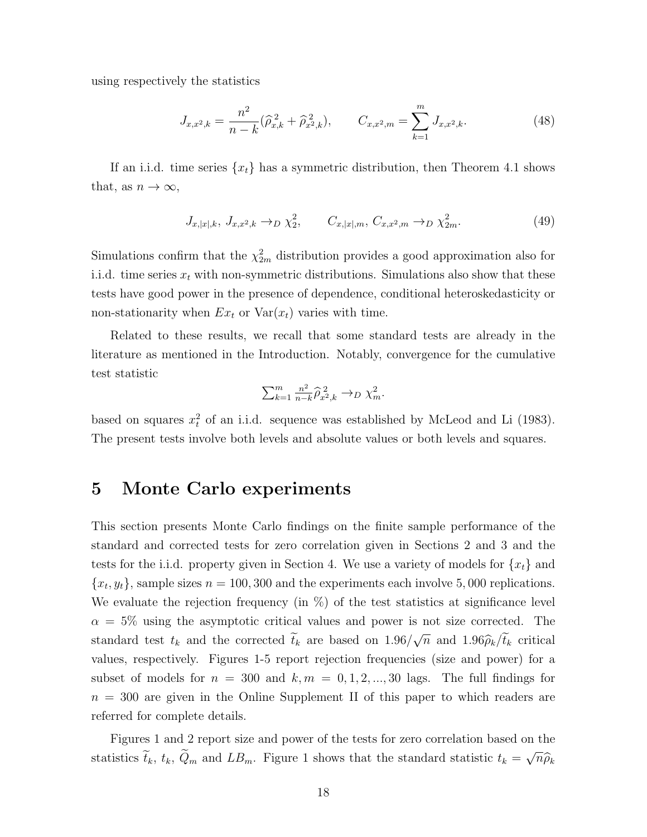using respectively the statistics

$$
J_{x,x^2,k} = \frac{n^2}{n-k} (\hat{\rho}_{x,k}^2 + \hat{\rho}_{x^2,k}^2), \qquad C_{x,x^2,m} = \sum_{k=1}^m J_{x,x^2,k}.
$$
 (48)

If an i.i.d. time series  $\{x_t\}$  has a symmetric distribution, then Theorem 4.1 shows that, as  $n \to \infty$ ,

$$
J_{x,|x|,k}, J_{x,x^2,k} \to_D \chi_2^2, \qquad C_{x,|x|,m}, C_{x,x^2,m} \to_D \chi_{2m}^2.
$$
 (49)

Simulations confirm that the  $\chi^2_{2m}$  distribution provides a good approximation also for i.i.d. time series  $x_t$  with non-symmetric distributions. Simulations also show that these tests have good power in the presence of dependence, conditional heteroskedasticity or non-stationarity when  $Ex_t$  or  $Var(x_t)$  varies with time.

Related to these results, we recall that some standard tests are already in the literature as mentioned in the Introduction. Notably, convergence for the cumulative test statistic

$$
\sum_{k=1}^m \frac{n^2}{n-k} \widehat{\rho}_{x^2,k}^2 \to_D \chi_m^2.
$$

based on squares  $x_t^2$  of an i.i.d. sequence was established by McLeod and Li (1983). The present tests involve both levels and absolute values or both levels and squares.

## 5 Monte Carlo experiments

This section presents Monte Carlo findings on the finite sample performance of the standard and corrected tests for zero correlation given in Sections 2 and 3 and the tests for the i.i.d. property given in Section 4. We use a variety of models for  $\{x_t\}$  and  ${x_t, y_t}$ , sample sizes  $n = 100, 300$  and the experiments each involve 5,000 replications. We evaluate the rejection frequency (in %) of the test statistics at significance level  $\alpha = 5\%$  using the asymptotic critical values and power is not size corrected. The standard test  $t_k$  and the corrected  $t_k$  are based on 1.96/ √  $\overline{n}$  and 1.96 $\hat{\rho}_k/t_k$  critical values, respectively. Figures 1-5 report rejection frequencies (size and power) for a subset of models for  $n = 300$  and  $k, m = 0, 1, 2, ..., 30$  lags. The full findings for  $n = 300$  are given in the Online Supplement II of this paper to which readers are referred for complete details.

Figures 1 and 2 report size and power of the tests for zero correlation based on the statistics  $\bar{t}_k$ ,  $t_k$ ,  $Q_m$  and  $LB_m$ . Figure 1 shows that the standard statistic  $t_k =$ √  $\overline{n}\widehat{\rho}_k$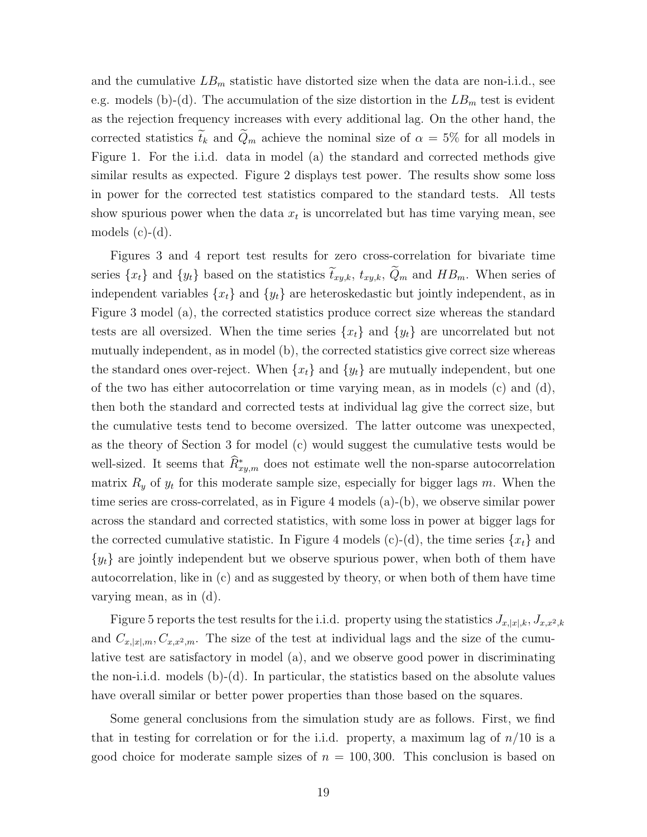and the cumulative  $LB_m$  statistic have distorted size when the data are non-i.i.d., see e.g. models (b)-(d). The accumulation of the size distortion in the  $LB<sub>m</sub>$  test is evident as the rejection frequency increases with every additional lag. On the other hand, the corrected statistics  $\tilde{t}_k$  and  $\tilde{Q}_m$  achieve the nominal size of  $\alpha = 5\%$  for all models in Figure 1. For the i.i.d. data in model (a) the standard and corrected methods give similar results as expected. Figure 2 displays test power. The results show some loss in power for the corrected test statistics compared to the standard tests. All tests show spurious power when the data  $x_t$  is uncorrelated but has time varying mean, see models  $(c)-(d)$ .

Figures 3 and 4 report test results for zero cross-correlation for bivariate time series  $\{x_t\}$  and  $\{y_t\}$  based on the statistics  $\tilde{t}_{xy,k}$ ,  $t_{xy,k}$ ,  $\tilde{Q}_m$  and  $HB_m$ . When series of independent variables  $\{x_t\}$  and  $\{y_t\}$  are heteroskedastic but jointly independent, as in Figure 3 model (a), the corrected statistics produce correct size whereas the standard tests are all oversized. When the time series  $\{x_t\}$  and  $\{y_t\}$  are uncorrelated but not mutually independent, as in model (b), the corrected statistics give correct size whereas the standard ones over-reject. When  $\{x_t\}$  and  $\{y_t\}$  are mutually independent, but one of the two has either autocorrelation or time varying mean, as in models (c) and (d), then both the standard and corrected tests at individual lag give the correct size, but the cumulative tests tend to become oversized. The latter outcome was unexpected, as the theory of Section 3 for model (c) would suggest the cumulative tests would be well-sized. It seems that  $\widehat{R}_{xy,m}^*$  does not estimate well the non-sparse autocorrelation matrix  $R_y$  of  $y_t$  for this moderate sample size, especially for bigger lags m. When the time series are cross-correlated, as in Figure 4 models (a)-(b), we observe similar power across the standard and corrected statistics, with some loss in power at bigger lags for the corrected cumulative statistic. In Figure 4 models (c)-(d), the time series  $\{x_t\}$  and  ${y_t}$  are jointly independent but we observe spurious power, when both of them have autocorrelation, like in (c) and as suggested by theory, or when both of them have time varying mean, as in (d).

Figure 5 reports the test results for the i.i.d. property using the statistics  $J_{x,|x|,k}, J_{x,x^2,k}$ and  $C_{x,|x|,m}, C_{x,x^2,m}$ . The size of the test at individual lags and the size of the cumulative test are satisfactory in model (a), and we observe good power in discriminating the non-i.i.d. models (b)-(d). In particular, the statistics based on the absolute values have overall similar or better power properties than those based on the squares.

Some general conclusions from the simulation study are as follows. First, we find that in testing for correlation or for the i.i.d. property, a maximum lag of  $n/10$  is a good choice for moderate sample sizes of  $n = 100, 300$ . This conclusion is based on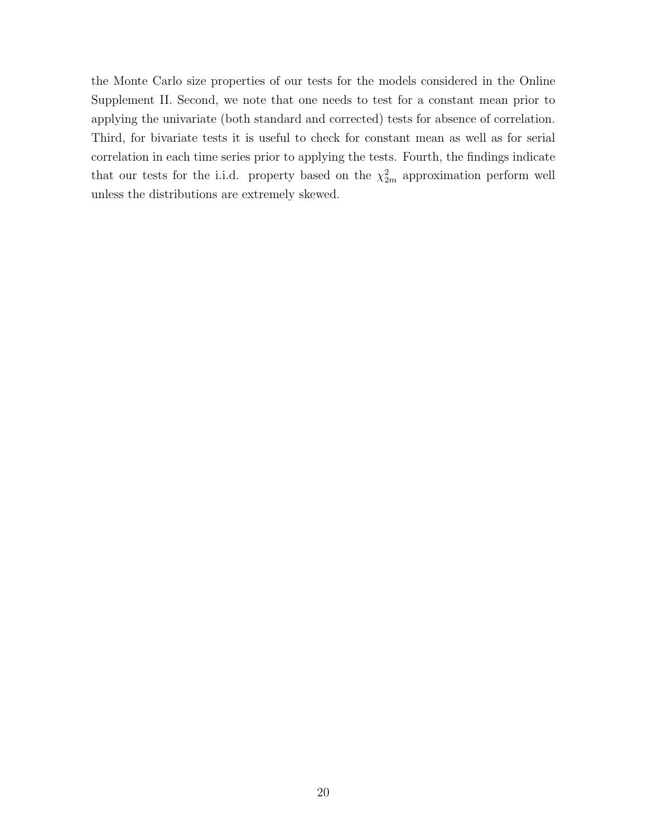the Monte Carlo size properties of our tests for the models considered in the Online Supplement II. Second, we note that one needs to test for a constant mean prior to applying the univariate (both standard and corrected) tests for absence of correlation. Third, for bivariate tests it is useful to check for constant mean as well as for serial correlation in each time series prior to applying the tests. Fourth, the findings indicate that our tests for the i.i.d. property based on the  $\chi^2_{2m}$  approximation perform well unless the distributions are extremely skewed.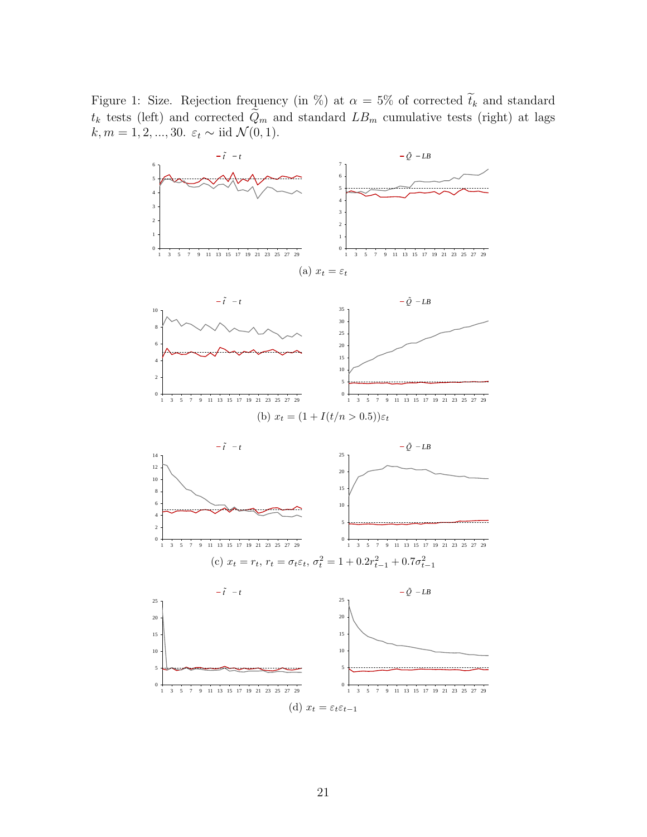Figure 1: Size. Rejection frequency (in %) at  $\alpha = 5\%$  of corrected  $\tilde{t}_k$  and standard  $t_k$  tests (left) and corrected  $Q_m$  and standard  $LB_m$  cumulative tests (right) at lags  $k, m = 1, 2, ..., 30$ .  $\varepsilon_t \sim \text{iid } \mathcal{N}(0, 1)$ .

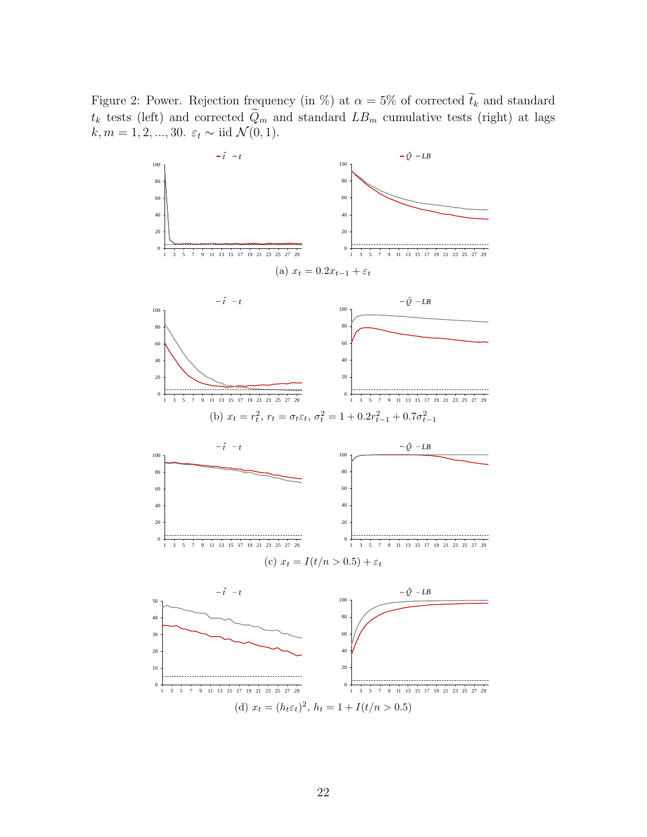Figure 2: Power. Rejection frequency (in %) at  $\alpha = 5\%$  of corrected  $\tilde{t}_k$  and standard  $t_k$  tests (left) and corrected  $Q_m$  and standard  $LB_m$  cumulative tests (right) at lags  $k, m = 1, 2, ..., 30$ .  $\varepsilon_t \sim \text{iid } \mathcal{N}(0, 1)$ .

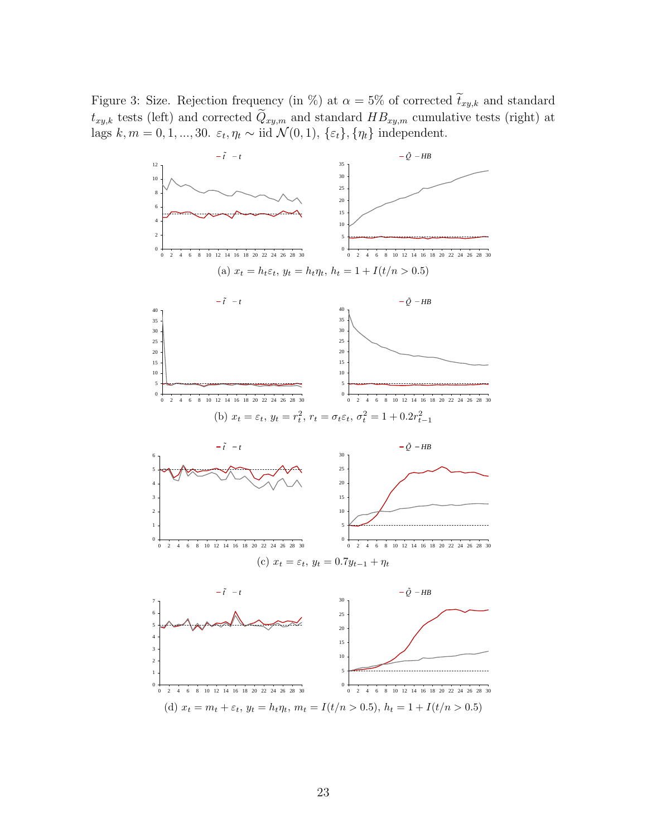Figure 3: Size. Rejection frequency (in %) at  $\alpha = 5\%$  of corrected  $\tilde{t}_{xy,k}$  and standard  $t_{xy,k}$  tests (left) and corrected  $\widetilde{Q}_{xy,m}$  and standard  $HB_{xy,m}$  cumulative tests (right) at lags  $k, m = 0, 1, ..., 30$ .  $\varepsilon_t, \eta_t \sim \text{iid } \mathcal{N}(0, 1), \{\varepsilon_t\}, \{\eta_t\} \text{ independent.}$ 

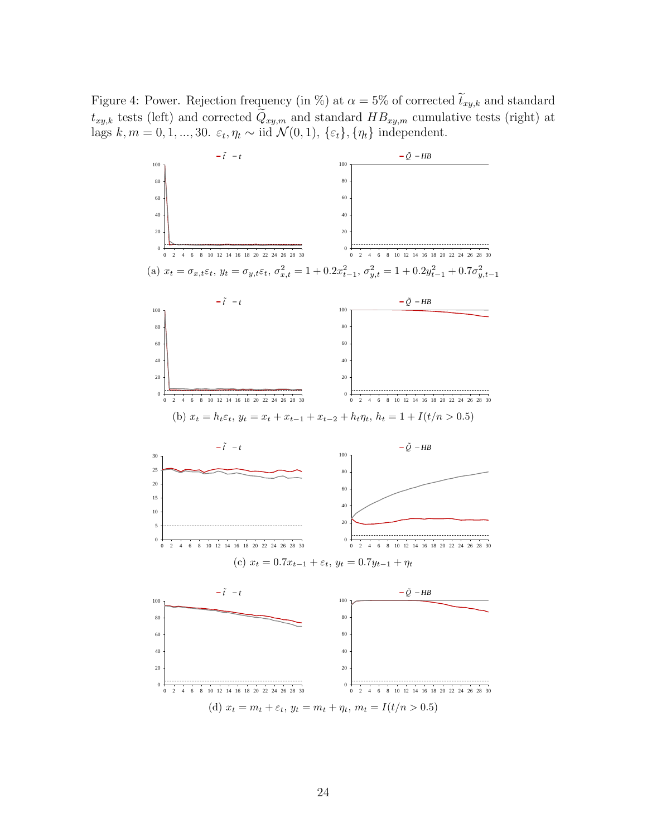Figure 4: Power. Rejection frequency (in %) at  $\alpha = 5\%$  of corrected  $\tilde{t}_{xy,k}$  and standard  $t_{xy,k}$  tests (left) and corrected  $\tilde{Q}_{xy,m}$  and standard  $HB_{xy,m}$  cumulative tests (right) at lags  $k, m = 0, 1, ..., 30$ .  $\varepsilon_t, \eta_t \sim \text{iid } \mathcal{N}(0, 1), \{\varepsilon_t\}, \{\eta_t\} \text{ independent.}$ 

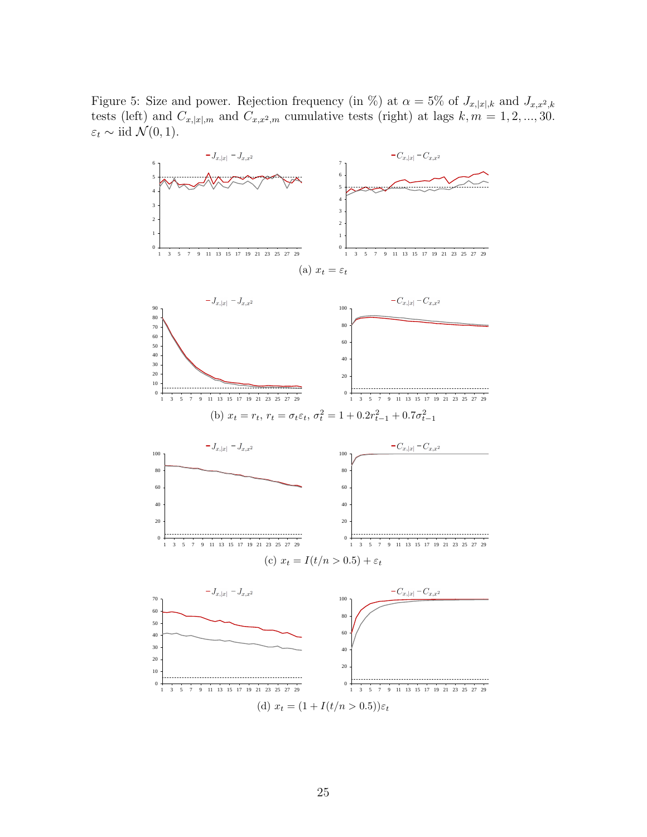Figure 5: Size and power. Rejection frequency (in %) at  $\alpha = 5\%$  of  $J_{x,|x|,k}$  and  $J_{x,x^2,k}$ tests (left) and  $C_{x,[x],m}$  and  $C_{x,x^2,m}$  cumulative tests (right) at lags  $k, m = 1, 2, ..., 30$ .  $\varepsilon_t \sim \text{iid } \mathcal{N}(0, 1).$ 

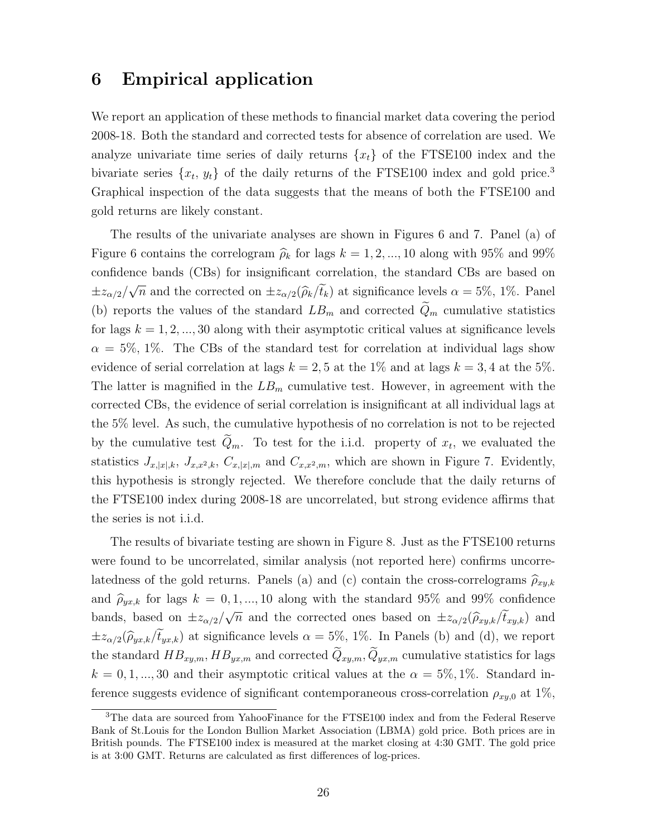### 6 Empirical application

We report an application of these methods to financial market data covering the period 2008-18. Both the standard and corrected tests for absence of correlation are used. We analyze univariate time series of daily returns  $\{x_t\}$  of the FTSE100 index and the bivariate series  $\{x_t, y_t\}$  of the daily returns of the FTSE100 index and gold price.<sup>3</sup> Graphical inspection of the data suggests that the means of both the FTSE100 and gold returns are likely constant.

The results of the univariate analyses are shown in Figures 6 and 7. Panel (a) of Figure 6 contains the correlogram  $\hat{\rho}_k$  for lags  $k = 1, 2, ..., 10$  along with 95% and 99% confidence bands (CBs) for insignificant correlation, the standard CBs are based on  $\pm z_{\alpha/2}/$ √  $\overline{n}$  and the corrected on  $\pm z_{\alpha/2}(\widehat{\rho}_k/t_k)$  at significance levels  $\alpha = 5\%$ , 1%. Panel (b) reports the values of the standard  $LB_m$  and corrected  $\tilde{Q}_m$  cumulative statistics for lags  $k = 1, 2, ..., 30$  along with their asymptotic critical values at significance levels  $\alpha = 5\%$ , 1%. The CBs of the standard test for correlation at individual lags show evidence of serial correlation at lags  $k = 2, 5$  at the 1% and at lags  $k = 3, 4$  at the 5%. The latter is magnified in the  $LB_m$  cumulative test. However, in agreement with the corrected CBs, the evidence of serial correlation is insignificant at all individual lags at the 5% level. As such, the cumulative hypothesis of no correlation is not to be rejected by the cumulative test  $Q_m$ . To test for the i.i.d. property of  $x_t$ , we evaluated the statistics  $J_{x,|x|,k}$ ,  $J_{x,x^2,k}$ ,  $C_{x,|x|,m}$  and  $C_{x,x^2,m}$ , which are shown in Figure 7. Evidently, this hypothesis is strongly rejected. We therefore conclude that the daily returns of the FTSE100 index during 2008-18 are uncorrelated, but strong evidence affirms that the series is not i.i.d.

The results of bivariate testing are shown in Figure 8. Just as the FTSE100 returns were found to be uncorrelated, similar analysis (not reported here) confirms uncorrelatedness of the gold returns. Panels (a) and (c) contain the cross-correlograms  $\hat{\rho}_{x_k,k}$ and  $\hat{\rho}_{yx,k}$  for lags  $k = 0, 1, ..., 10$  along with the standard 95% and 99% confidence bands, based on  $\pm z_{\alpha/2}/\sqrt{n}$  and the corrected ones based on  $\pm z_{\alpha/2}(\hat{\rho}_{xy,k}/\hat{t}_{xy,k})$  and  $\pm z_{\alpha/2}(\widehat{\rho}_{yx,k}/\widetilde{t}_{yx,k})$  at significance levels  $\alpha = 5\%$ , 1%. In Panels (b) and (d), we report the standard  $HB_{xy,m}$ ,  $HB_{yx,m}$  and corrected  $\tilde{Q}_{xy,m}$ ,  $\tilde{Q}_{yx,m}$  cumulative statistics for lags  $k = 0, 1, ..., 30$  and their asymptotic critical values at the  $\alpha = 5\%, 1\%$ . Standard inference suggests evidence of significant contemporaneous cross-correlation  $\rho_{xy,0}$  at 1%,

<sup>3</sup>The data are sourced from YahooFinance for the FTSE100 index and from the Federal Reserve Bank of St.Louis for the London Bullion Market Association (LBMA) gold price. Both prices are in British pounds. The FTSE100 index is measured at the market closing at 4:30 GMT. The gold price is at 3:00 GMT. Returns are calculated as first differences of log-prices.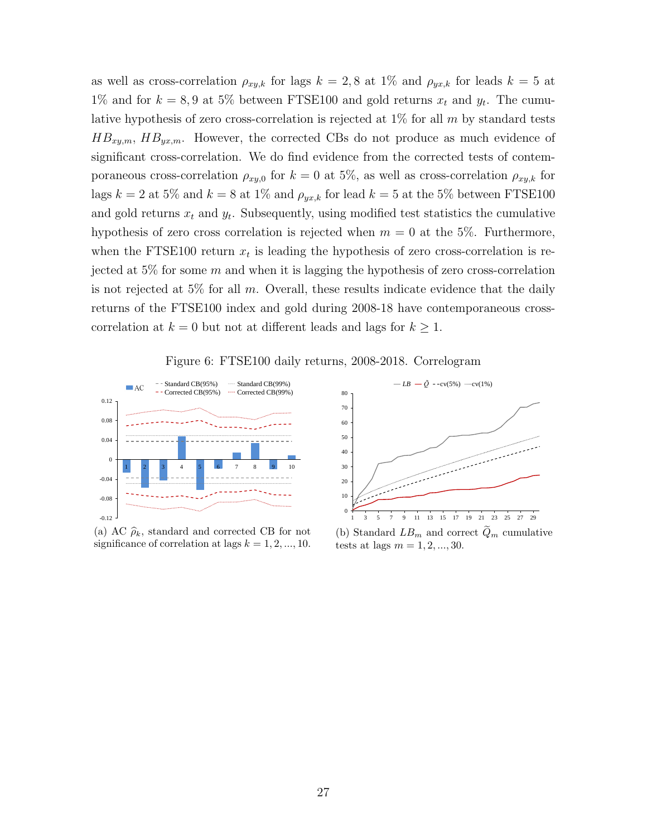as well as cross-correlation  $\rho_{xy,k}$  for lags  $k = 2, 8$  at 1% and  $\rho_{yx,k}$  for leads  $k = 5$  at 1% and for  $k = 8,9$  at 5% between FTSE100 and gold returns  $x_t$  and  $y_t$ . The cumulative hypothesis of zero cross-correlation is rejected at  $1\%$  for all m by standard tests  $HB_{xy,m}$ ,  $HB_{yx,m}$ . However, the corrected CBs do not produce as much evidence of significant cross-correlation. We do find evidence from the corrected tests of contemporaneous cross-correlation  $\rho_{xy,0}$  for  $k = 0$  at 5%, as well as cross-correlation  $\rho_{xy,k}$  for lags  $k = 2$  at 5% and  $k = 8$  at 1% and  $\rho_{yx,k}$  for lead  $k = 5$  at the 5% between FTSE100 and gold returns  $x_t$  and  $y_t$ . Subsequently, using modified test statistics the cumulative hypothesis of zero cross correlation is rejected when  $m = 0$  at the 5%. Furthermore, when the FTSE100 return  $x_t$  is leading the hypothesis of zero cross-correlation is rejected at 5% for some  $m$  and when it is lagging the hypothesis of zero cross-correlation is not rejected at 5% for all  $m$ . Overall, these results indicate evidence that the daily returns of the FTSE100 index and gold during 2008-18 have contemporaneous crosscorrelation at  $k = 0$  but not at different leads and lags for  $k \geq 1$ .

Figure 6: FTSE100 daily returns, 2008-2018. Correlogram



(a) AC  $\hat{\rho}_k$ , standard and corrected CB for not significance of correlation at lags  $k = 1, 2, ..., 10$ .



(b) Standard  $LB_m$  and correct  $Q_m$  cumulative tests at lags  $m = 1, 2, ..., 30$ .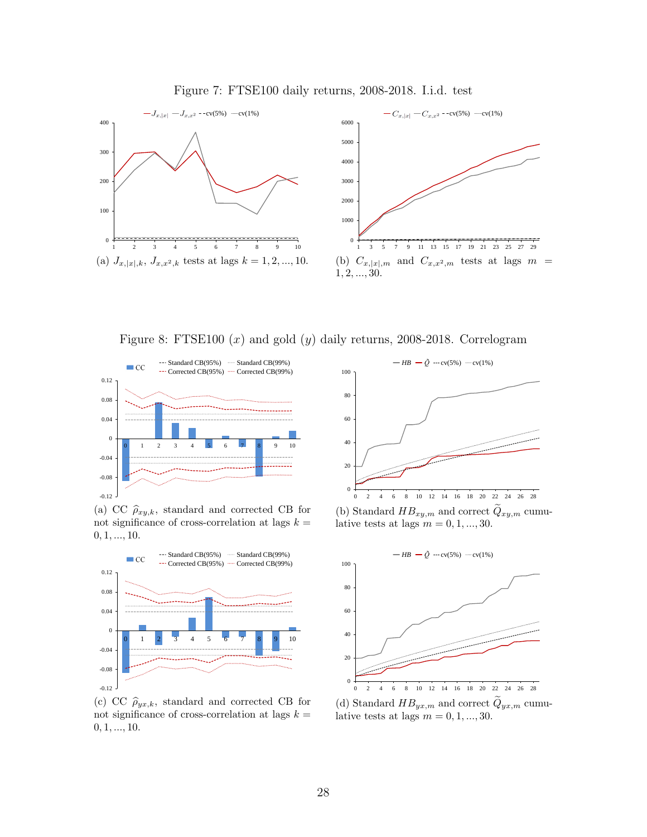





Figure 8: FTSE100  $(x)$  and gold  $(y)$  daily returns, 2008-2018. Correlogram



(a) CC  $\hat{\rho}_{xy,k}$ , standard and corrected CB for not significance of cross-correlation at lags  $k =$  $0, 1, ..., 10.$ 



(c) CC  $\hat{\rho}_{yx,k}$ , standard and corrected CB for not significance of cross-correlation at lags  $k=\,$  $0, 1, ..., 10.$ 



(b) Standard  $HB_{xy,m}$  and correct  $Q_{xy,m}$  cumulative tests at lags  $m = 0, 1, ..., 30$ .



(d) Standard  $HB_{yx,m}$  and correct  $Q_{yx,m}$  cumulative tests at lags  $m = 0, 1, ..., 30$ .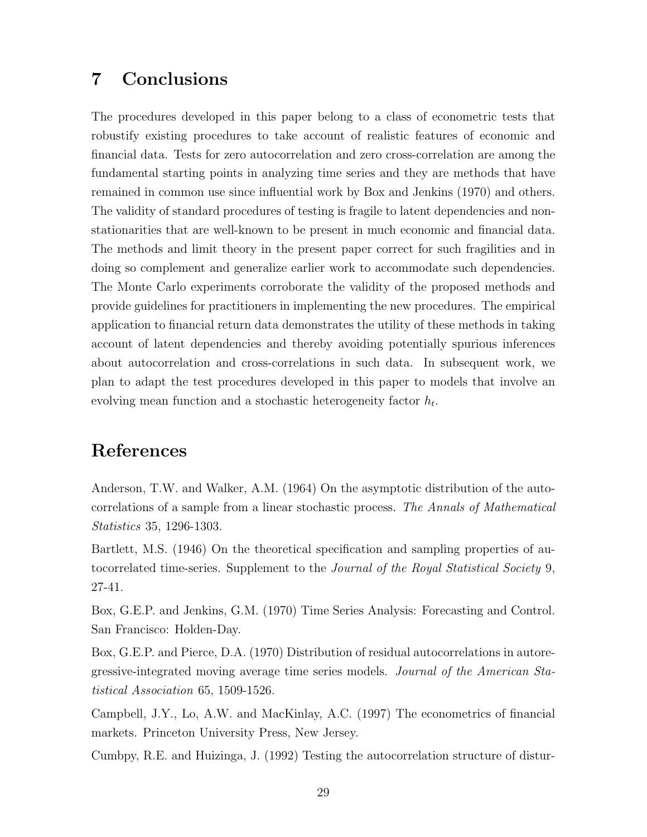# 7 Conclusions

The procedures developed in this paper belong to a class of econometric tests that robustify existing procedures to take account of realistic features of economic and financial data. Tests for zero autocorrelation and zero cross-correlation are among the fundamental starting points in analyzing time series and they are methods that have remained in common use since influential work by Box and Jenkins (1970) and others. The validity of standard procedures of testing is fragile to latent dependencies and nonstationarities that are well-known to be present in much economic and financial data. The methods and limit theory in the present paper correct for such fragilities and in doing so complement and generalize earlier work to accommodate such dependencies. The Monte Carlo experiments corroborate the validity of the proposed methods and provide guidelines for practitioners in implementing the new procedures. The empirical application to financial return data demonstrates the utility of these methods in taking account of latent dependencies and thereby avoiding potentially spurious inferences about autocorrelation and cross-correlations in such data. In subsequent work, we plan to adapt the test procedures developed in this paper to models that involve an evolving mean function and a stochastic heterogeneity factor  $h_t$ .

# References

Anderson, T.W. and Walker, A.M. (1964) On the asymptotic distribution of the autocorrelations of a sample from a linear stochastic process. The Annals of Mathematical Statistics 35, 1296-1303.

Bartlett, M.S. (1946) On the theoretical specification and sampling properties of autocorrelated time-series. Supplement to the Journal of the Royal Statistical Society 9, 27-41.

Box, G.E.P. and Jenkins, G.M. (1970) Time Series Analysis: Forecasting and Control. San Francisco: Holden-Day.

Box, G.E.P. and Pierce, D.A. (1970) Distribution of residual autocorrelations in autoregressive-integrated moving average time series models. Journal of the American Statistical Association 65, 1509-1526.

Campbell, J.Y., Lo, A.W. and MacKinlay, A.C. (1997) The econometrics of financial markets. Princeton University Press, New Jersey.

Cumbpy, R.E. and Huizinga, J. (1992) Testing the autocorrelation structure of distur-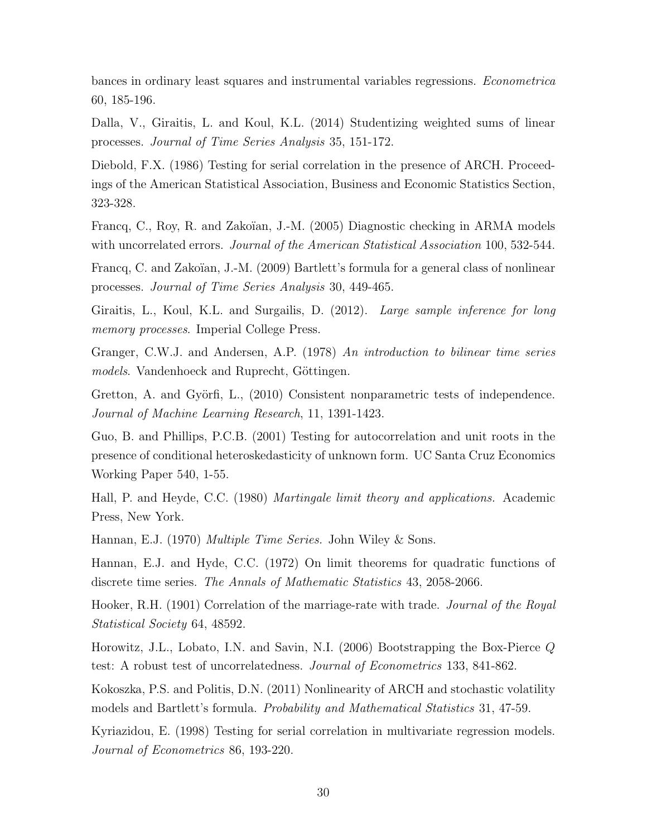bances in ordinary least squares and instrumental variables regressions. Econometrica 60, 185-196.

Dalla, V., Giraitis, L. and Koul, K.L. (2014) Studentizing weighted sums of linear processes. Journal of Time Series Analysis 35, 151-172.

Diebold, F.X. (1986) Testing for serial correlation in the presence of ARCH. Proceedings of the American Statistical Association, Business and Economic Statistics Section, 323-328.

Francq, C., Roy, R. and Zakoïan, J.-M. (2005) Diagnostic checking in ARMA models with uncorrelated errors. *Journal of the American Statistical Association* 100, 532-544.

Francq, C. and Zakoïan, J.-M. (2009) Bartlett's formula for a general class of nonlinear processes. Journal of Time Series Analysis 30, 449-465.

Giraitis, L., Koul, K.L. and Surgailis, D. (2012). Large sample inference for long memory processes. Imperial College Press.

Granger, C.W.J. and Andersen, A.P. (1978) An introduction to bilinear time series models. Vandenhoeck and Ruprecht, Göttingen.

Gretton, A. and Györfi, L., (2010) Consistent nonparametric tests of independence. Journal of Machine Learning Research, 11, 1391-1423.

Guo, B. and Phillips, P.C.B. (2001) Testing for autocorrelation and unit roots in the presence of conditional heteroskedasticity of unknown form. UC Santa Cruz Economics Working Paper 540, 1-55.

Hall, P. and Heyde, C.C. (1980) Martingale limit theory and applications. Academic Press, New York.

Hannan, E.J. (1970) Multiple Time Series. John Wiley & Sons.

Hannan, E.J. and Hyde, C.C. (1972) On limit theorems for quadratic functions of discrete time series. The Annals of Mathematic Statistics 43, 2058-2066.

Hooker, R.H. (1901) Correlation of the marriage-rate with trade. Journal of the Royal Statistical Society 64, 48592.

Horowitz, J.L., Lobato, I.N. and Savin, N.I. (2006) Bootstrapping the Box-Pierce Q test: A robust test of uncorrelatedness. Journal of Econometrics 133, 841-862.

Kokoszka, P.S. and Politis, D.N. (2011) Nonlinearity of ARCH and stochastic volatility models and Bartlett's formula. Probability and Mathematical Statistics 31, 47-59.

Kyriazidou, E. (1998) Testing for serial correlation in multivariate regression models. Journal of Econometrics 86, 193-220.